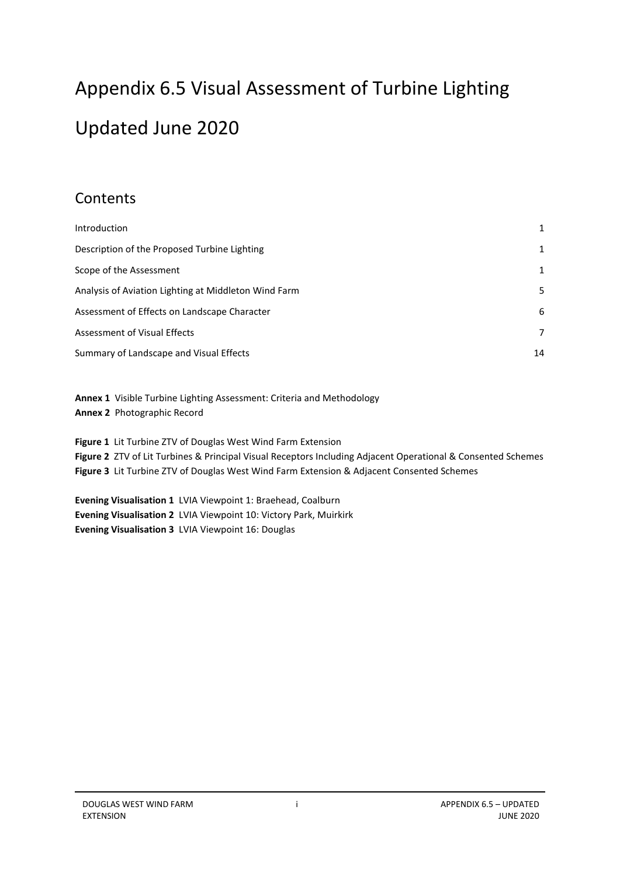# Appendix 6.5 Visual Assessment of Turbine Lighting Updated June 2020

## Contents

| Introduction                                         | $\mathbf{1}$ |
|------------------------------------------------------|--------------|
| Description of the Proposed Turbine Lighting         | $\mathbf{1}$ |
| Scope of the Assessment                              | $\mathbf{1}$ |
| Analysis of Aviation Lighting at Middleton Wind Farm | 5            |
| Assessment of Effects on Landscape Character         | 6            |
| <b>Assessment of Visual Effects</b>                  | 7            |
| Summary of Landscape and Visual Effects              | 14           |

**Annex 1** Visible Turbine Lighting Assessment: Criteria and Methodology **Annex 2** Photographic Record

**Figure 1** Lit Turbine ZTV of Douglas West Wind Farm Extension

**Figure 2** ZTV of Lit Turbines & Principal Visual Receptors Including Adjacent Operational & Consented Schemes

**Figure 3** Lit Turbine ZTV of Douglas West Wind Farm Extension & Adjacent Consented Schemes

**Evening Visualisation 1** LVIA Viewpoint 1: Braehead, Coalburn **Evening Visualisation 2** LVIA Viewpoint 10: Victory Park, Muirkirk **Evening Visualisation 3** LVIA Viewpoint 16: Douglas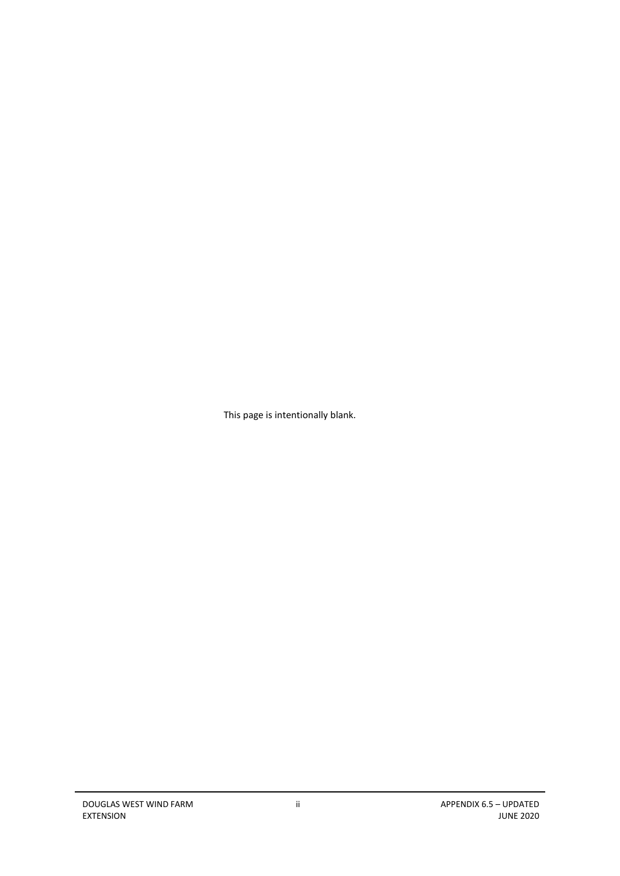This page is intentionally blank.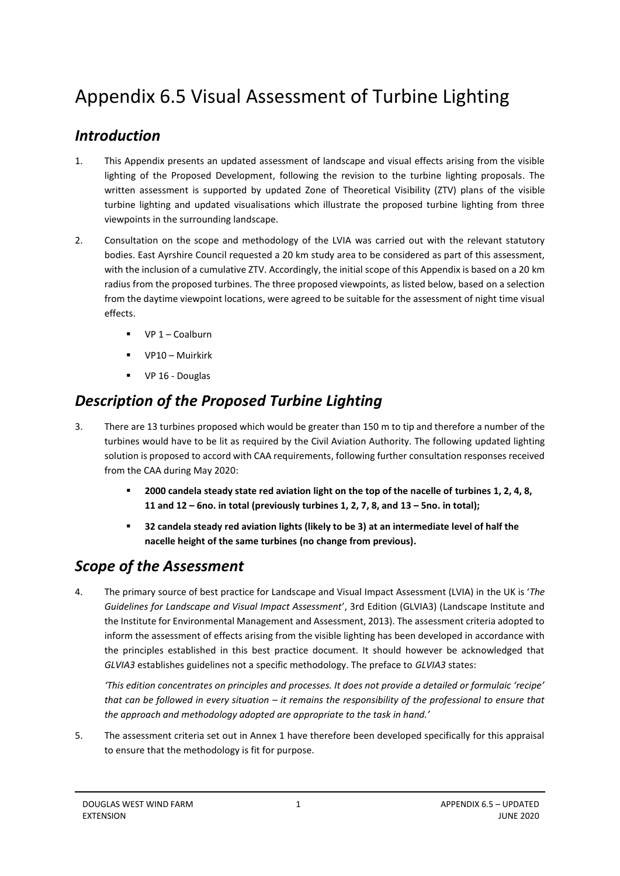## Appendix 6.5 Visual Assessment of Turbine Lighting

### <span id="page-2-0"></span>*Introduction*

- 1. This Appendix presents an updated assessment of landscape and visual effects arising from the visible lighting of the Proposed Development, following the revision to the turbine lighting proposals. The written assessment is supported by updated Zone of Theoretical Visibility (ZTV) plans of the visible turbine lighting and updated visualisations which illustrate the proposed turbine lighting from three viewpoints in the surrounding landscape.
- 2. Consultation on the scope and methodology of the LVIA was carried out with the relevant statutory bodies. East Ayrshire Council requested a 20 km study area to be considered as part of this assessment, with the inclusion of a cumulative ZTV. Accordingly, the initial scope of this Appendix is based on a 20 km radius from the proposed turbines. The three proposed viewpoints, as listed below, based on a selection from the daytime viewpoint locations, were agreed to be suitable for the assessment of night time visual effects.
	- $\blacksquare$  VP 1 Coalburn
	- VP10 Muirkirk
	- VP 16 Douglas

## <span id="page-2-1"></span>*Description of the Proposed Turbine Lighting*

- 3. There are 13 turbines proposed which would be greater than 150 m to tip and therefore a number of the turbines would have to be lit as required by the Civil Aviation Authority. The following updated lighting solution is proposed to accord with CAA requirements, following further consultation responses received from the CAA during May 2020:
	- **2000 candela steady state red aviation light on the top of the nacelle of turbines 1, 2, 4, 8, 11 and 12 – 6no. in total (previously turbines 1, 2, 7, 8, and 13 – 5no. in total);**
	- **32 candela steady red aviation lights (likely to be 3) at an intermediate level of half the nacelle height of the same turbines (no change from previous).**

### <span id="page-2-2"></span>*Scope of the Assessment*

4. The primary source of best practice for Landscape and Visual Impact Assessment (LVIA) in the UK is '*The Guidelines for Landscape and Visual Impact Assessment*', 3rd Edition (GLVIA3) (Landscape Institute and the Institute for Environmental Management and Assessment, 2013). The assessment criteria adopted to inform the assessment of effects arising from the visible lighting has been developed in accordance with the principles established in this best practice document. It should however be acknowledged that *GLVIA3* establishes guidelines not a specific methodology. The preface to *GLVIA3* states:

*'This edition concentrates on principles and processes. It does not provide a detailed or formulaic 'recipe' that can be followed in every situation – it remains the responsibility of the professional to ensure that the approach and methodology adopted are appropriate to the task in hand.'* 

5. The assessment criteria set out in Annex 1 have therefore been developed specifically for this appraisal to ensure that the methodology is fit for purpose.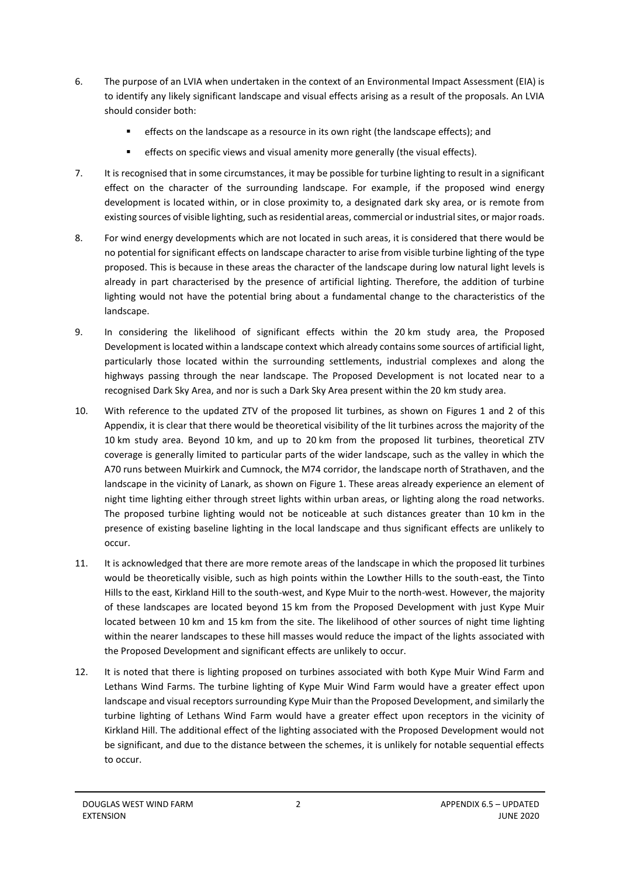- 6. The purpose of an LVIA when undertaken in the context of an Environmental Impact Assessment (EIA) is to identify any likely significant landscape and visual effects arising as a result of the proposals. An LVIA should consider both:
	- effects on the landscape as a resource in its own right (the landscape effects); and
	- **EXECTED EFFECTS** on specific views and visual amenity more generally (the visual effects).
- 7. It is recognised that in some circumstances, it may be possible for turbine lighting to result in a significant effect on the character of the surrounding landscape. For example, if the proposed wind energy development is located within, or in close proximity to, a designated dark sky area, or is remote from existing sources of visible lighting, such as residential areas, commercial or industrial sites, or major roads.
- 8. For wind energy developments which are not located in such areas, it is considered that there would be no potential for significant effects on landscape character to arise from visible turbine lighting of the type proposed. This is because in these areas the character of the landscape during low natural light levels is already in part characterised by the presence of artificial lighting. Therefore, the addition of turbine lighting would not have the potential bring about a fundamental change to the characteristics of the landscape.
- 9. In considering the likelihood of significant effects within the 20 km study area, the Proposed Development is located within a landscape context which already contains some sources of artificial light, particularly those located within the surrounding settlements, industrial complexes and along the highways passing through the near landscape. The Proposed Development is not located near to a recognised Dark Sky Area, and nor is such a Dark Sky Area present within the 20 km study area.
- 10. With reference to the updated ZTV of the proposed lit turbines, as shown on Figures 1 and 2 of this Appendix, it is clear that there would be theoretical visibility of the lit turbines across the majority of the 10 km study area. Beyond 10 km, and up to 20 km from the proposed lit turbines, theoretical ZTV coverage is generally limited to particular parts of the wider landscape, such as the valley in which the A70 runs between Muirkirk and Cumnock, the M74 corridor, the landscape north of Strathaven, and the landscape in the vicinity of Lanark, as shown on Figure 1. These areas already experience an element of night time lighting either through street lights within urban areas, or lighting along the road networks. The proposed turbine lighting would not be noticeable at such distances greater than 10 km in the presence of existing baseline lighting in the local landscape and thus significant effects are unlikely to occur.
- 11. It is acknowledged that there are more remote areas of the landscape in which the proposed lit turbines would be theoretically visible, such as high points within the Lowther Hills to the south-east, the Tinto Hills to the east, Kirkland Hill to the south-west, and Kype Muir to the north-west. However, the majority of these landscapes are located beyond 15 km from the Proposed Development with just Kype Muir located between 10 km and 15 km from the site. The likelihood of other sources of night time lighting within the nearer landscapes to these hill masses would reduce the impact of the lights associated with the Proposed Development and significant effects are unlikely to occur.
- 12. It is noted that there is lighting proposed on turbines associated with both Kype Muir Wind Farm and Lethans Wind Farms. The turbine lighting of Kype Muir Wind Farm would have a greater effect upon landscape and visual receptors surrounding Kype Muir than the Proposed Development, and similarly the turbine lighting of Lethans Wind Farm would have a greater effect upon receptors in the vicinity of Kirkland Hill. The additional effect of the lighting associated with the Proposed Development would not be significant, and due to the distance between the schemes, it is unlikely for notable sequential effects to occur.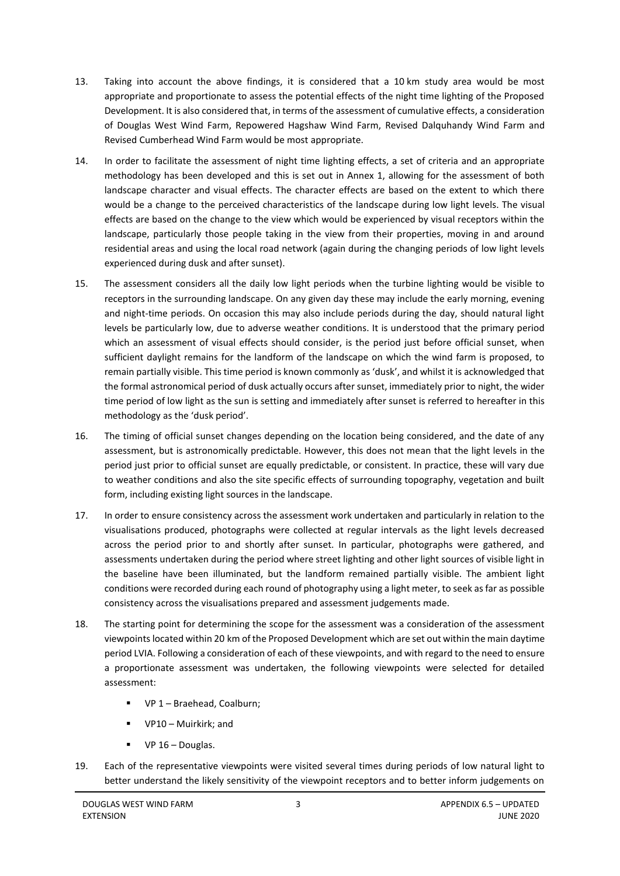- 13. Taking into account the above findings, it is considered that a 10 km study area would be most appropriate and proportionate to assess the potential effects of the night time lighting of the Proposed Development. It is also considered that, in terms of the assessment of cumulative effects, a consideration of Douglas West Wind Farm, Repowered Hagshaw Wind Farm, Revised Dalquhandy Wind Farm and Revised Cumberhead Wind Farm would be most appropriate.
- 14. In order to facilitate the assessment of night time lighting effects, a set of criteria and an appropriate methodology has been developed and this is set out in Annex 1, allowing for the assessment of both landscape character and visual effects. The character effects are based on the extent to which there would be a change to the perceived characteristics of the landscape during low light levels. The visual effects are based on the change to the view which would be experienced by visual receptors within the landscape, particularly those people taking in the view from their properties, moving in and around residential areas and using the local road network (again during the changing periods of low light levels experienced during dusk and after sunset).
- 15. The assessment considers all the daily low light periods when the turbine lighting would be visible to receptors in the surrounding landscape. On any given day these may include the early morning, evening and night-time periods. On occasion this may also include periods during the day, should natural light levels be particularly low, due to adverse weather conditions. It is understood that the primary period which an assessment of visual effects should consider, is the period just before official sunset, when sufficient daylight remains for the landform of the landscape on which the wind farm is proposed, to remain partially visible. This time period is known commonly as 'dusk', and whilst it is acknowledged that the formal astronomical period of dusk actually occurs after sunset, immediately prior to night, the wider time period of low light as the sun is setting and immediately after sunset is referred to hereafter in this methodology as the 'dusk period'.
- 16. The timing of official sunset changes depending on the location being considered, and the date of any assessment, but is astronomically predictable. However, this does not mean that the light levels in the period just prior to official sunset are equally predictable, or consistent. In practice, these will vary due to weather conditions and also the site specific effects of surrounding topography, vegetation and built form, including existing light sources in the landscape.
- 17. In order to ensure consistency across the assessment work undertaken and particularly in relation to the visualisations produced, photographs were collected at regular intervals as the light levels decreased across the period prior to and shortly after sunset. In particular, photographs were gathered, and assessments undertaken during the period where street lighting and other light sources of visible light in the baseline have been illuminated, but the landform remained partially visible. The ambient light conditions were recorded during each round of photography using a light meter, to seek as far as possible consistency across the visualisations prepared and assessment judgements made.
- 18. The starting point for determining the scope for the assessment was a consideration of the assessment viewpoints located within 20 km of the Proposed Development which are set out within the main daytime period LVIA. Following a consideration of each of these viewpoints, and with regard to the need to ensure a proportionate assessment was undertaken, the following viewpoints were selected for detailed assessment:
	- VP 1 Braehead, Coalburn;
	- VP10 Muirkirk; and
	- VP 16 Douglas.
- 19. Each of the representative viewpoints were visited several times during periods of low natural light to better understand the likely sensitivity of the viewpoint receptors and to better inform judgements on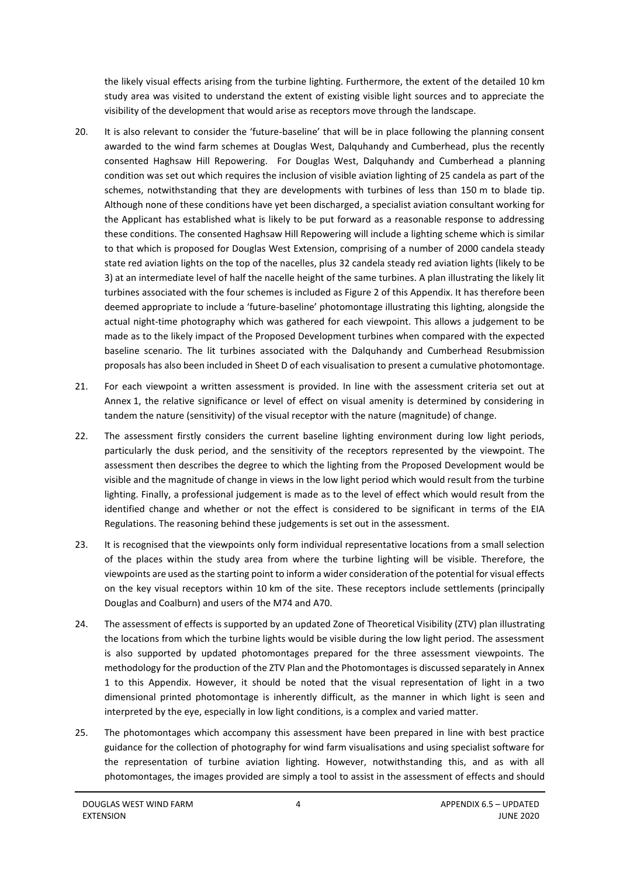the likely visual effects arising from the turbine lighting. Furthermore, the extent of the detailed 10 km study area was visited to understand the extent of existing visible light sources and to appreciate the visibility of the development that would arise as receptors move through the landscape.

- 20. It is also relevant to consider the 'future-baseline' that will be in place following the planning consent awarded to the wind farm schemes at Douglas West, Dalquhandy and Cumberhead, plus the recently consented Haghsaw Hill Repowering. For Douglas West, Dalquhandy and Cumberhead a planning condition was set out which requires the inclusion of visible aviation lighting of 25 candela as part of the schemes, notwithstanding that they are developments with turbines of less than 150 m to blade tip. Although none of these conditions have yet been discharged, a specialist aviation consultant working for the Applicant has established what is likely to be put forward as a reasonable response to addressing these conditions. The consented Haghsaw Hill Repowering will include a lighting scheme which is similar to that which is proposed for Douglas West Extension, comprising of a number of 2000 candela steady state red aviation lights on the top of the nacelles, plus 32 candela steady red aviation lights (likely to be 3) at an intermediate level of half the nacelle height of the same turbines. A plan illustrating the likely lit turbines associated with the four schemes is included as Figure 2 of this Appendix. It has therefore been deemed appropriate to include a 'future-baseline' photomontage illustrating this lighting, alongside the actual night-time photography which was gathered for each viewpoint. This allows a judgement to be made as to the likely impact of the Proposed Development turbines when compared with the expected baseline scenario. The lit turbines associated with the Dalquhandy and Cumberhead Resubmission proposals has also been included in Sheet D of each visualisation to present a cumulative photomontage.
- 21. For each viewpoint a written assessment is provided. In line with the assessment criteria set out at Annex 1, the relative significance or level of effect on visual amenity is determined by considering in tandem the nature (sensitivity) of the visual receptor with the nature (magnitude) of change.
- 22. The assessment firstly considers the current baseline lighting environment during low light periods, particularly the dusk period, and the sensitivity of the receptors represented by the viewpoint. The assessment then describes the degree to which the lighting from the Proposed Development would be visible and the magnitude of change in views in the low light period which would result from the turbine lighting. Finally, a professional judgement is made as to the level of effect which would result from the identified change and whether or not the effect is considered to be significant in terms of the EIA Regulations. The reasoning behind these judgements is set out in the assessment.
- 23. It is recognised that the viewpoints only form individual representative locations from a small selection of the places within the study area from where the turbine lighting will be visible. Therefore, the viewpoints are used as the starting point to inform a wider consideration of the potential for visual effects on the key visual receptors within 10 km of the site. These receptors include settlements (principally Douglas and Coalburn) and users of the M74 and A70.
- 24. The assessment of effects is supported by an updated Zone of Theoretical Visibility (ZTV) plan illustrating the locations from which the turbine lights would be visible during the low light period. The assessment is also supported by updated photomontages prepared for the three assessment viewpoints. The methodology for the production of the ZTV Plan and the Photomontages is discussed separately in Annex 1 to this Appendix. However, it should be noted that the visual representation of light in a two dimensional printed photomontage is inherently difficult, as the manner in which light is seen and interpreted by the eye, especially in low light conditions, is a complex and varied matter.
- 25. The photomontages which accompany this assessment have been prepared in line with best practice guidance for the collection of photography for wind farm visualisations and using specialist software for the representation of turbine aviation lighting. However, notwithstanding this, and as with all photomontages, the images provided are simply a tool to assist in the assessment of effects and should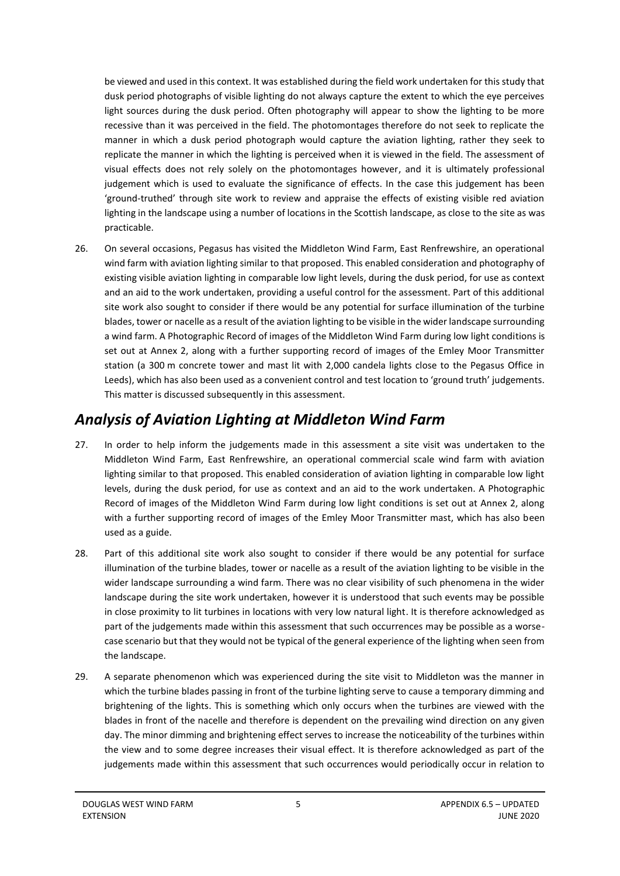be viewed and used in this context. It was established during the field work undertaken for this study that dusk period photographs of visible lighting do not always capture the extent to which the eye perceives light sources during the dusk period. Often photography will appear to show the lighting to be more recessive than it was perceived in the field. The photomontages therefore do not seek to replicate the manner in which a dusk period photograph would capture the aviation lighting, rather they seek to replicate the manner in which the lighting is perceived when it is viewed in the field. The assessment of visual effects does not rely solely on the photomontages however, and it is ultimately professional judgement which is used to evaluate the significance of effects. In the case this judgement has been 'ground-truthed' through site work to review and appraise the effects of existing visible red aviation lighting in the landscape using a number of locations in the Scottish landscape, as close to the site as was practicable.

26. On several occasions, Pegasus has visited the Middleton Wind Farm, East Renfrewshire, an operational wind farm with aviation lighting similar to that proposed. This enabled consideration and photography of existing visible aviation lighting in comparable low light levels, during the dusk period, for use as context and an aid to the work undertaken, providing a useful control for the assessment. Part of this additional site work also sought to consider if there would be any potential for surface illumination of the turbine blades, tower or nacelle as a result of the aviation lighting to be visible in the wider landscape surrounding a wind farm. A Photographic Record of images of the Middleton Wind Farm during low light conditions is set out at Annex 2, along with a further supporting record of images of the Emley Moor Transmitter station (a 300 m concrete tower and mast lit with 2,000 candela lights close to the Pegasus Office in Leeds), which has also been used as a convenient control and test location to 'ground truth' judgements. This matter is discussed subsequently in this assessment.

## <span id="page-6-0"></span>*Analysis of Aviation Lighting at Middleton Wind Farm*

- 27. In order to help inform the judgements made in this assessment a site visit was undertaken to the Middleton Wind Farm, East Renfrewshire, an operational commercial scale wind farm with aviation lighting similar to that proposed. This enabled consideration of aviation lighting in comparable low light levels, during the dusk period, for use as context and an aid to the work undertaken. A Photographic Record of images of the Middleton Wind Farm during low light conditions is set out at Annex 2, along with a further supporting record of images of the Emley Moor Transmitter mast, which has also been used as a guide.
- 28. Part of this additional site work also sought to consider if there would be any potential for surface illumination of the turbine blades, tower or nacelle as a result of the aviation lighting to be visible in the wider landscape surrounding a wind farm. There was no clear visibility of such phenomena in the wider landscape during the site work undertaken, however it is understood that such events may be possible in close proximity to lit turbines in locations with very low natural light. It is therefore acknowledged as part of the judgements made within this assessment that such occurrences may be possible as a worsecase scenario but that they would not be typical of the general experience of the lighting when seen from the landscape.
- 29. A separate phenomenon which was experienced during the site visit to Middleton was the manner in which the turbine blades passing in front of the turbine lighting serve to cause a temporary dimming and brightening of the lights. This is something which only occurs when the turbines are viewed with the blades in front of the nacelle and therefore is dependent on the prevailing wind direction on any given day. The minor dimming and brightening effect serves to increase the noticeability of the turbines within the view and to some degree increases their visual effect. It is therefore acknowledged as part of the judgements made within this assessment that such occurrences would periodically occur in relation to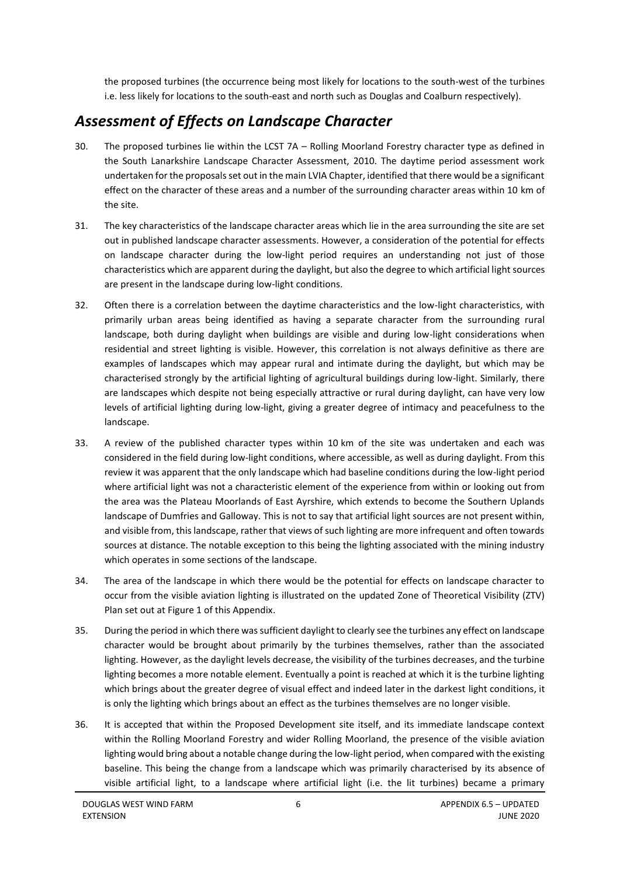the proposed turbines (the occurrence being most likely for locations to the south-west of the turbines i.e. less likely for locations to the south-east and north such as Douglas and Coalburn respectively).

## <span id="page-7-0"></span>*Assessment of Effects on Landscape Character*

- 30. The proposed turbines lie within the LCST 7A Rolling Moorland Forestry character type as defined in the South Lanarkshire Landscape Character Assessment, 2010. The daytime period assessment work undertaken for the proposals set out in the main LVIA Chapter, identified that there would be a significant effect on the character of these areas and a number of the surrounding character areas within 10 km of the site.
- 31. The key characteristics of the landscape character areas which lie in the area surrounding the site are set out in published landscape character assessments. However, a consideration of the potential for effects on landscape character during the low-light period requires an understanding not just of those characteristics which are apparent during the daylight, but also the degree to which artificial light sources are present in the landscape during low-light conditions.
- 32. Often there is a correlation between the daytime characteristics and the low-light characteristics, with primarily urban areas being identified as having a separate character from the surrounding rural landscape, both during daylight when buildings are visible and during low-light considerations when residential and street lighting is visible. However, this correlation is not always definitive as there are examples of landscapes which may appear rural and intimate during the daylight, but which may be characterised strongly by the artificial lighting of agricultural buildings during low-light. Similarly, there are landscapes which despite not being especially attractive or rural during daylight, can have very low levels of artificial lighting during low-light, giving a greater degree of intimacy and peacefulness to the landscape.
- 33. A review of the published character types within 10 km of the site was undertaken and each was considered in the field during low-light conditions, where accessible, as well as during daylight. From this review it was apparent that the only landscape which had baseline conditions during the low-light period where artificial light was not a characteristic element of the experience from within or looking out from the area was the Plateau Moorlands of East Ayrshire, which extends to become the Southern Uplands landscape of Dumfries and Galloway. This is not to say that artificial light sources are not present within, and visible from, this landscape, rather that views of such lighting are more infrequent and often towards sources at distance. The notable exception to this being the lighting associated with the mining industry which operates in some sections of the landscape.
- 34. The area of the landscape in which there would be the potential for effects on landscape character to occur from the visible aviation lighting is illustrated on the updated Zone of Theoretical Visibility (ZTV) Plan set out at Figure 1 of this Appendix.
- 35. During the period in which there was sufficient daylight to clearly see the turbines any effect on landscape character would be brought about primarily by the turbines themselves, rather than the associated lighting. However, as the daylight levels decrease, the visibility of the turbines decreases, and the turbine lighting becomes a more notable element. Eventually a point is reached at which it is the turbine lighting which brings about the greater degree of visual effect and indeed later in the darkest light conditions, it is only the lighting which brings about an effect as the turbines themselves are no longer visible.
- 36. It is accepted that within the Proposed Development site itself, and its immediate landscape context within the Rolling Moorland Forestry and wider Rolling Moorland, the presence of the visible aviation lighting would bring about a notable change during the low-light period, when compared with the existing baseline. This being the change from a landscape which was primarily characterised by its absence of visible artificial light, to a landscape where artificial light (i.e. the lit turbines) became a primary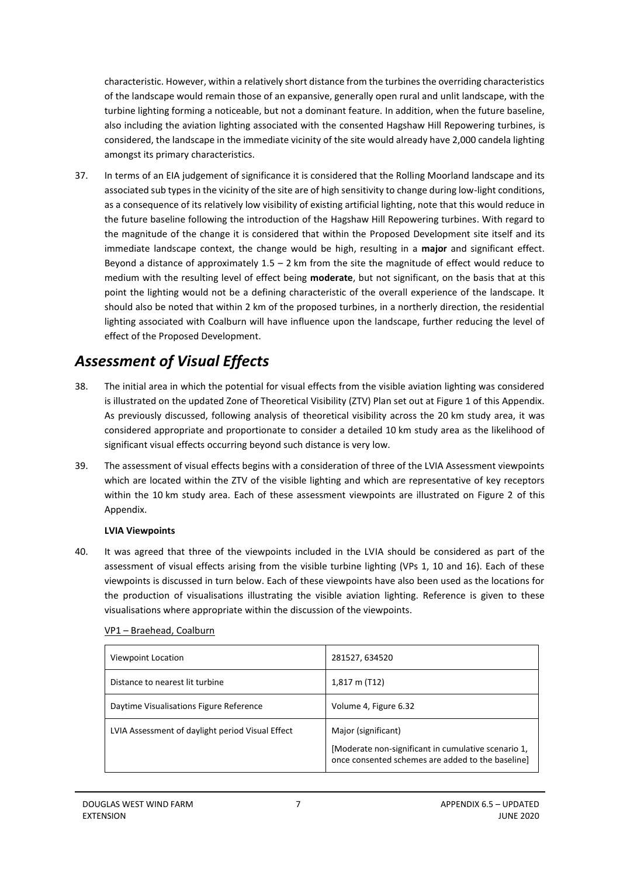characteristic. However, within a relatively short distance from the turbines the overriding characteristics of the landscape would remain those of an expansive, generally open rural and unlit landscape, with the turbine lighting forming a noticeable, but not a dominant feature. In addition, when the future baseline, also including the aviation lighting associated with the consented Hagshaw Hill Repowering turbines, is considered, the landscape in the immediate vicinity of the site would already have 2,000 candela lighting amongst its primary characteristics.

37. In terms of an EIA judgement of significance it is considered that the Rolling Moorland landscape and its associated sub types in the vicinity of the site are of high sensitivity to change during low-light conditions, as a consequence of its relatively low visibility of existing artificial lighting, note that this would reduce in the future baseline following the introduction of the Hagshaw Hill Repowering turbines. With regard to the magnitude of the change it is considered that within the Proposed Development site itself and its immediate landscape context, the change would be high, resulting in a **major** and significant effect. Beyond a distance of approximately  $1.5 - 2$  km from the site the magnitude of effect would reduce to medium with the resulting level of effect being **moderate**, but not significant, on the basis that at this point the lighting would not be a defining characteristic of the overall experience of the landscape. It should also be noted that within 2 km of the proposed turbines, in a northerly direction, the residential lighting associated with Coalburn will have influence upon the landscape, further reducing the level of effect of the Proposed Development.

## <span id="page-8-0"></span>*Assessment of Visual Effects*

- 38. The initial area in which the potential for visual effects from the visible aviation lighting was considered is illustrated on the updated Zone of Theoretical Visibility (ZTV) Plan set out at Figure 1 of this Appendix. As previously discussed, following analysis of theoretical visibility across the 20 km study area, it was considered appropriate and proportionate to consider a detailed 10 km study area as the likelihood of significant visual effects occurring beyond such distance is very low.
- 39. The assessment of visual effects begins with a consideration of three of the LVIA Assessment viewpoints which are located within the ZTV of the visible lighting and which are representative of key receptors within the 10 km study area. Each of these assessment viewpoints are illustrated on Figure 2 of this Appendix.

### **LVIA Viewpoints**

40. It was agreed that three of the viewpoints included in the LVIA should be considered as part of the assessment of visual effects arising from the visible turbine lighting (VPs 1, 10 and 16). Each of these viewpoints is discussed in turn below. Each of these viewpoints have also been used as the locations for the production of visualisations illustrating the visible aviation lighting. Reference is given to these visualisations where appropriate within the discussion of the viewpoints.

| Viewpoint Location                               | 281527, 634520                                                                                                                 |
|--------------------------------------------------|--------------------------------------------------------------------------------------------------------------------------------|
| Distance to nearest lit turbine                  | 1,817 m (T12)                                                                                                                  |
| Daytime Visualisations Figure Reference          | Volume 4, Figure 6.32                                                                                                          |
| LVIA Assessment of daylight period Visual Effect | Major (significant)<br>Moderate non-significant in cumulative scenario 1,<br>once consented schemes are added to the baseline] |

### VP1 – Braehead, Coalburn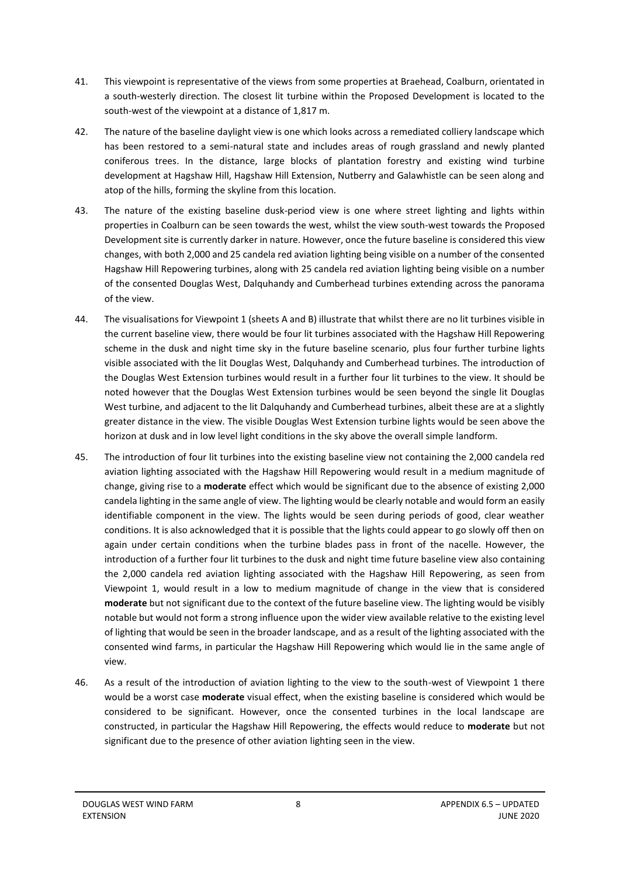- 41. This viewpoint is representative of the views from some properties at Braehead, Coalburn, orientated in a south-westerly direction. The closest lit turbine within the Proposed Development is located to the south-west of the viewpoint at a distance of 1,817 m.
- 42. The nature of the baseline daylight view is one which looks across a remediated colliery landscape which has been restored to a semi-natural state and includes areas of rough grassland and newly planted coniferous trees. In the distance, large blocks of plantation forestry and existing wind turbine development at Hagshaw Hill, Hagshaw Hill Extension, Nutberry and Galawhistle can be seen along and atop of the hills, forming the skyline from this location.
- 43. The nature of the existing baseline dusk-period view is one where street lighting and lights within properties in Coalburn can be seen towards the west, whilst the view south-west towards the Proposed Development site is currently darker in nature. However, once the future baseline is considered this view changes, with both 2,000 and 25 candela red aviation lighting being visible on a number of the consented Hagshaw Hill Repowering turbines, along with 25 candela red aviation lighting being visible on a number of the consented Douglas West, Dalquhandy and Cumberhead turbines extending across the panorama of the view.
- 44. The visualisations for Viewpoint 1 (sheets A and B) illustrate that whilst there are no lit turbines visible in the current baseline view, there would be four lit turbines associated with the Hagshaw Hill Repowering scheme in the dusk and night time sky in the future baseline scenario, plus four further turbine lights visible associated with the lit Douglas West, Dalquhandy and Cumberhead turbines. The introduction of the Douglas West Extension turbines would result in a further four lit turbines to the view. It should be noted however that the Douglas West Extension turbines would be seen beyond the single lit Douglas West turbine, and adjacent to the lit Dalquhandy and Cumberhead turbines, albeit these are at a slightly greater distance in the view. The visible Douglas West Extension turbine lights would be seen above the horizon at dusk and in low level light conditions in the sky above the overall simple landform.
- 45. The introduction of four lit turbines into the existing baseline view not containing the 2,000 candela red aviation lighting associated with the Hagshaw Hill Repowering would result in a medium magnitude of change, giving rise to a **moderate** effect which would be significant due to the absence of existing 2,000 candela lighting in the same angle of view. The lighting would be clearly notable and would form an easily identifiable component in the view. The lights would be seen during periods of good, clear weather conditions. It is also acknowledged that it is possible that the lights could appear to go slowly off then on again under certain conditions when the turbine blades pass in front of the nacelle. However, the introduction of a further four lit turbines to the dusk and night time future baseline view also containing the 2,000 candela red aviation lighting associated with the Hagshaw Hill Repowering, as seen from Viewpoint 1, would result in a low to medium magnitude of change in the view that is considered **moderate** but not significant due to the context of the future baseline view. The lighting would be visibly notable but would not form a strong influence upon the wider view available relative to the existing level of lighting that would be seen in the broader landscape, and as a result of the lighting associated with the consented wind farms, in particular the Hagshaw Hill Repowering which would lie in the same angle of view.
- 46. As a result of the introduction of aviation lighting to the view to the south-west of Viewpoint 1 there would be a worst case **moderate** visual effect, when the existing baseline is considered which would be considered to be significant. However, once the consented turbines in the local landscape are constructed, in particular the Hagshaw Hill Repowering, the effects would reduce to **moderate** but not significant due to the presence of other aviation lighting seen in the view.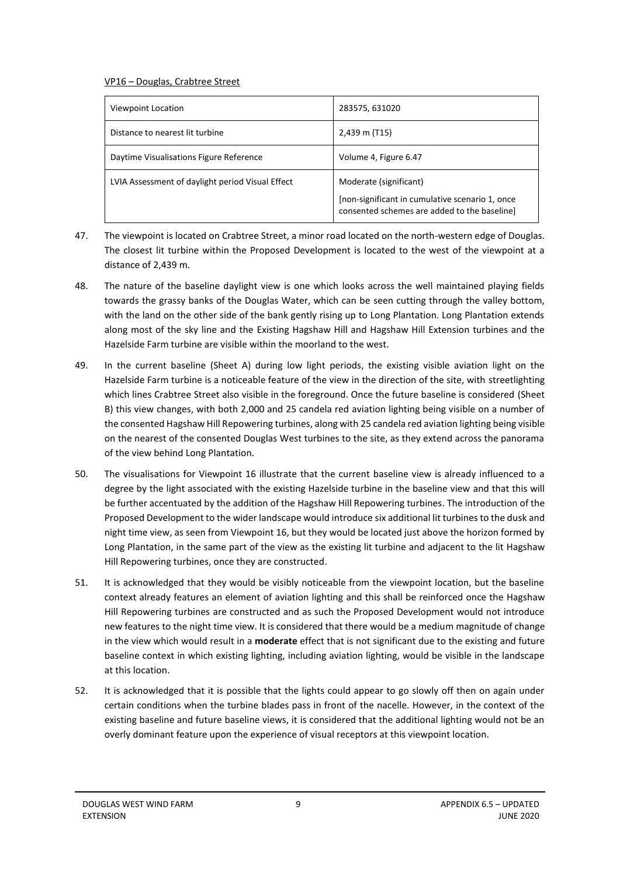#### VP16 – Douglas, Crabtree Street

| Viewpoint Location                               | 283575, 631020                                                                                                            |
|--------------------------------------------------|---------------------------------------------------------------------------------------------------------------------------|
| Distance to nearest lit turbine                  | 2,439 m (T15)                                                                                                             |
| Daytime Visualisations Figure Reference          | Volume 4, Figure 6.47                                                                                                     |
| LVIA Assessment of daylight period Visual Effect | Moderate (significant)<br>[non-significant in cumulative scenario 1, once<br>consented schemes are added to the baseline] |

- 47. The viewpoint is located on Crabtree Street, a minor road located on the north-western edge of Douglas. The closest lit turbine within the Proposed Development is located to the west of the viewpoint at a distance of 2,439 m.
- 48. The nature of the baseline daylight view is one which looks across the well maintained playing fields towards the grassy banks of the Douglas Water, which can be seen cutting through the valley bottom, with the land on the other side of the bank gently rising up to Long Plantation. Long Plantation extends along most of the sky line and the Existing Hagshaw Hill and Hagshaw Hill Extension turbines and the Hazelside Farm turbine are visible within the moorland to the west.
- 49. In the current baseline (Sheet A) during low light periods, the existing visible aviation light on the Hazelside Farm turbine is a noticeable feature of the view in the direction of the site, with streetlighting which lines Crabtree Street also visible in the foreground. Once the future baseline is considered (Sheet B) this view changes, with both 2,000 and 25 candela red aviation lighting being visible on a number of the consented Hagshaw Hill Repowering turbines, along with 25 candela red aviation lighting being visible on the nearest of the consented Douglas West turbines to the site, as they extend across the panorama of the view behind Long Plantation.
- 50. The visualisations for Viewpoint 16 illustrate that the current baseline view is already influenced to a degree by the light associated with the existing Hazelside turbine in the baseline view and that this will be further accentuated by the addition of the Hagshaw Hill Repowering turbines. The introduction of the Proposed Development to the wider landscape would introduce six additional lit turbines to the dusk and night time view, as seen from Viewpoint 16, but they would be located just above the horizon formed by Long Plantation, in the same part of the view as the existing lit turbine and adjacent to the lit Hagshaw Hill Repowering turbines, once they are constructed.
- 51. It is acknowledged that they would be visibly noticeable from the viewpoint location, but the baseline context already features an element of aviation lighting and this shall be reinforced once the Hagshaw Hill Repowering turbines are constructed and as such the Proposed Development would not introduce new features to the night time view. It is considered that there would be a medium magnitude of change in the view which would result in a **moderate** effect that is not significant due to the existing and future baseline context in which existing lighting, including aviation lighting, would be visible in the landscape at this location.
- 52. It is acknowledged that it is possible that the lights could appear to go slowly off then on again under certain conditions when the turbine blades pass in front of the nacelle. However, in the context of the existing baseline and future baseline views, it is considered that the additional lighting would not be an overly dominant feature upon the experience of visual receptors at this viewpoint location.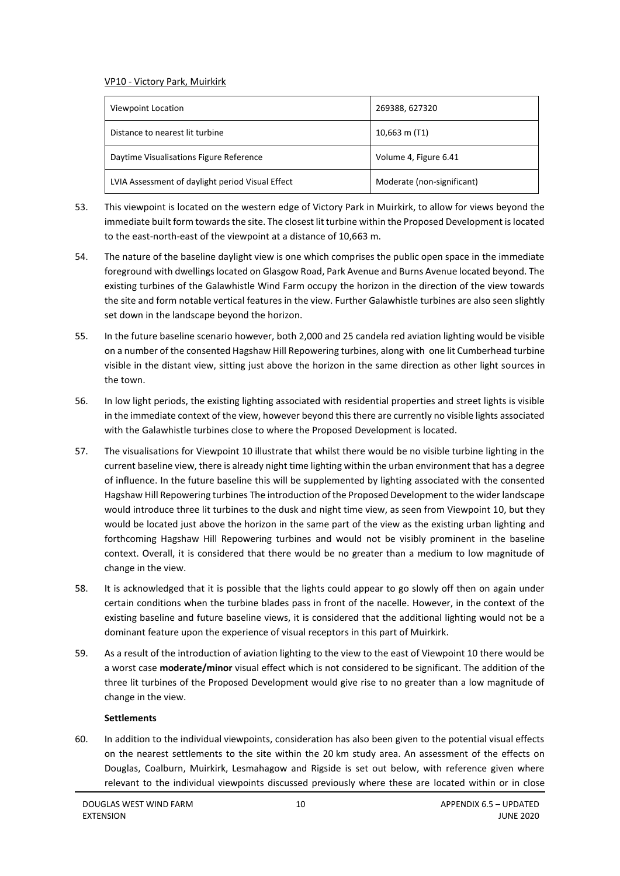### VP10 - Victory Park, Muirkirk

| Viewpoint Location                               | 269388, 627320             |
|--------------------------------------------------|----------------------------|
| Distance to nearest lit turbine                  | $10,663$ m (T1)            |
| Daytime Visualisations Figure Reference          | Volume 4, Figure 6.41      |
| LVIA Assessment of daylight period Visual Effect | Moderate (non-significant) |

- 53. This viewpoint is located on the western edge of Victory Park in Muirkirk, to allow for views beyond the immediate built form towards the site. The closest lit turbine within the Proposed Development is located to the east-north-east of the viewpoint at a distance of 10,663 m.
- 54. The nature of the baseline daylight view is one which comprises the public open space in the immediate foreground with dwellings located on Glasgow Road, Park Avenue and Burns Avenue located beyond. The existing turbines of the Galawhistle Wind Farm occupy the horizon in the direction of the view towards the site and form notable vertical features in the view. Further Galawhistle turbines are also seen slightly set down in the landscape beyond the horizon.
- 55. In the future baseline scenario however, both 2,000 and 25 candela red aviation lighting would be visible on a number of the consented Hagshaw Hill Repowering turbines, along with one lit Cumberhead turbine visible in the distant view, sitting just above the horizon in the same direction as other light sources in the town.
- 56. In low light periods, the existing lighting associated with residential properties and street lights is visible in the immediate context of the view, however beyond this there are currently no visible lights associated with the Galawhistle turbines close to where the Proposed Development is located.
- 57. The visualisations for Viewpoint 10 illustrate that whilst there would be no visible turbine lighting in the current baseline view, there is already night time lighting within the urban environment that has a degree of influence. In the future baseline this will be supplemented by lighting associated with the consented Hagshaw Hill Repowering turbines The introduction of the Proposed Development to the wider landscape would introduce three lit turbines to the dusk and night time view, as seen from Viewpoint 10, but they would be located just above the horizon in the same part of the view as the existing urban lighting and forthcoming Hagshaw Hill Repowering turbines and would not be visibly prominent in the baseline context. Overall, it is considered that there would be no greater than a medium to low magnitude of change in the view.
- 58. It is acknowledged that it is possible that the lights could appear to go slowly off then on again under certain conditions when the turbine blades pass in front of the nacelle. However, in the context of the existing baseline and future baseline views, it is considered that the additional lighting would not be a dominant feature upon the experience of visual receptors in this part of Muirkirk.
- 59. As a result of the introduction of aviation lighting to the view to the east of Viewpoint 10 there would be a worst case **moderate/minor** visual effect which is not considered to be significant. The addition of the three lit turbines of the Proposed Development would give rise to no greater than a low magnitude of change in the view.

### **Settlements**

60. In addition to the individual viewpoints, consideration has also been given to the potential visual effects on the nearest settlements to the site within the 20 km study area. An assessment of the effects on Douglas, Coalburn, Muirkirk, Lesmahagow and Rigside is set out below, with reference given where relevant to the individual viewpoints discussed previously where these are located within or in close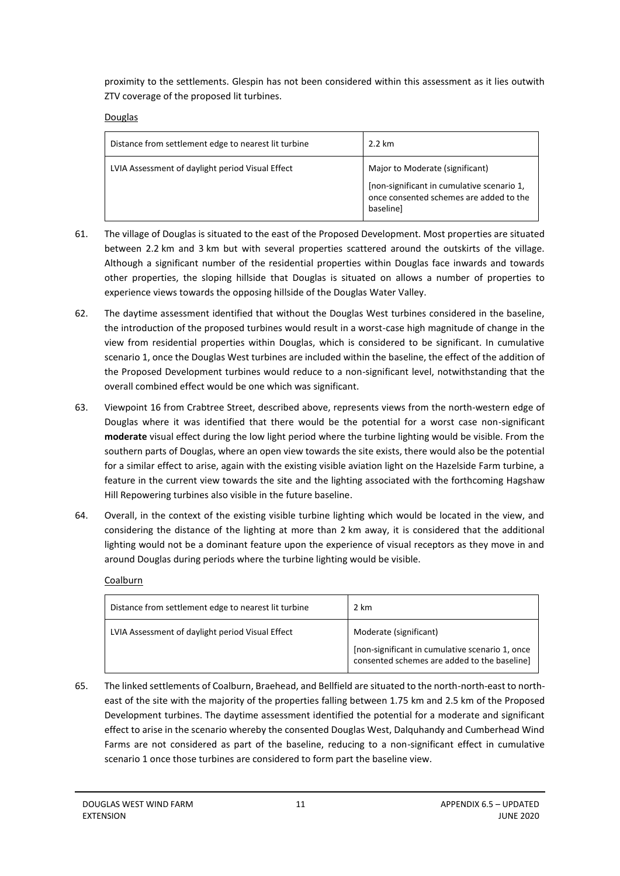proximity to the settlements. Glespin has not been considered within this assessment as it lies outwith ZTV coverage of the proposed lit turbines.

**Douglas** 

| Distance from settlement edge to nearest lit turbine | $2.2 \text{ km}$                                                                                                                      |
|------------------------------------------------------|---------------------------------------------------------------------------------------------------------------------------------------|
| LVIA Assessment of daylight period Visual Effect     | Major to Moderate (significant)<br>[non-significant in cumulative scenario 1,<br>once consented schemes are added to the<br>baseline] |

- 61. The village of Douglas is situated to the east of the Proposed Development. Most properties are situated between 2.2 km and 3 km but with several properties scattered around the outskirts of the village. Although a significant number of the residential properties within Douglas face inwards and towards other properties, the sloping hillside that Douglas is situated on allows a number of properties to experience views towards the opposing hillside of the Douglas Water Valley.
- 62. The daytime assessment identified that without the Douglas West turbines considered in the baseline, the introduction of the proposed turbines would result in a worst-case high magnitude of change in the view from residential properties within Douglas, which is considered to be significant. In cumulative scenario 1, once the Douglas West turbines are included within the baseline, the effect of the addition of the Proposed Development turbines would reduce to a non-significant level, notwithstanding that the overall combined effect would be one which was significant.
- 63. Viewpoint 16 from Crabtree Street, described above, represents views from the north-western edge of Douglas where it was identified that there would be the potential for a worst case non-significant **moderate** visual effect during the low light period where the turbine lighting would be visible. From the southern parts of Douglas, where an open view towards the site exists, there would also be the potential for a similar effect to arise, again with the existing visible aviation light on the Hazelside Farm turbine, a feature in the current view towards the site and the lighting associated with the forthcoming Hagshaw Hill Repowering turbines also visible in the future baseline.
- 64. Overall, in the context of the existing visible turbine lighting which would be located in the view, and considering the distance of the lighting at more than 2 km away, it is considered that the additional lighting would not be a dominant feature upon the experience of visual receptors as they move in and around Douglas during periods where the turbine lighting would be visible.

Coalburn

| Distance from settlement edge to nearest lit turbine | 2 km                                                                                                                      |
|------------------------------------------------------|---------------------------------------------------------------------------------------------------------------------------|
| LVIA Assessment of daylight period Visual Effect     | Moderate (significant)<br>[non-significant in cumulative scenario 1, once<br>consented schemes are added to the baseline] |

65. The linked settlements of Coalburn, Braehead, and Bellfield are situated to the north-north-east to northeast of the site with the majority of the properties falling between 1.75 km and 2.5 km of the Proposed Development turbines. The daytime assessment identified the potential for a moderate and significant effect to arise in the scenario whereby the consented Douglas West, Dalquhandy and Cumberhead Wind Farms are not considered as part of the baseline, reducing to a non-significant effect in cumulative scenario 1 once those turbines are considered to form part the baseline view.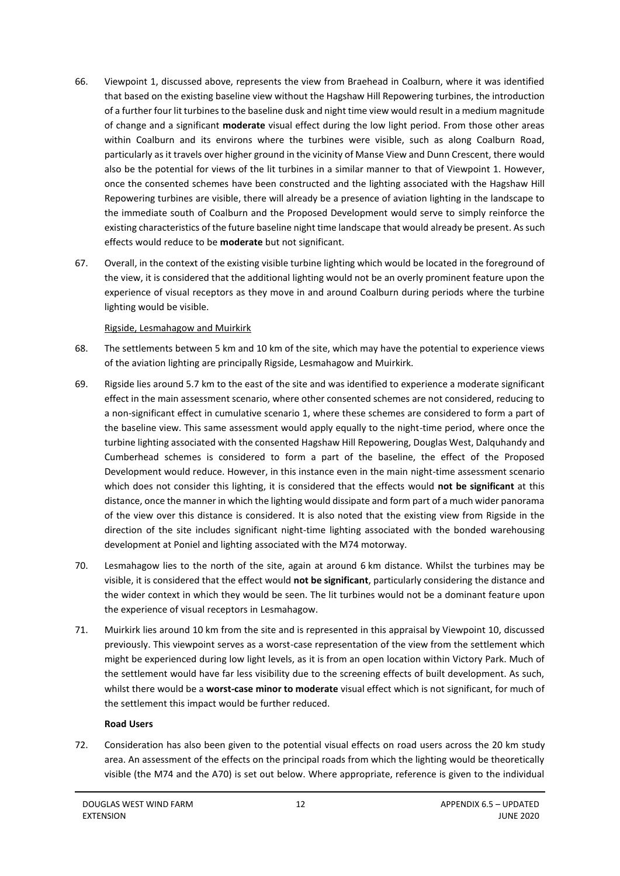- 66. Viewpoint 1, discussed above, represents the view from Braehead in Coalburn, where it was identified that based on the existing baseline view without the Hagshaw Hill Repowering turbines, the introduction of a further four lit turbines to the baseline dusk and night time view would result in a medium magnitude of change and a significant **moderate** visual effect during the low light period. From those other areas within Coalburn and its environs where the turbines were visible, such as along Coalburn Road, particularly as it travels over higher ground in the vicinity of Manse View and Dunn Crescent, there would also be the potential for views of the lit turbines in a similar manner to that of Viewpoint 1. However, once the consented schemes have been constructed and the lighting associated with the Hagshaw Hill Repowering turbines are visible, there will already be a presence of aviation lighting in the landscape to the immediate south of Coalburn and the Proposed Development would serve to simply reinforce the existing characteristics of the future baseline night time landscape that would already be present. As such effects would reduce to be **moderate** but not significant.
- 67. Overall, in the context of the existing visible turbine lighting which would be located in the foreground of the view, it is considered that the additional lighting would not be an overly prominent feature upon the experience of visual receptors as they move in and around Coalburn during periods where the turbine lighting would be visible.

### Rigside, Lesmahagow and Muirkirk

- 68. The settlements between 5 km and 10 km of the site, which may have the potential to experience views of the aviation lighting are principally Rigside, Lesmahagow and Muirkirk.
- 69. Rigside lies around 5.7 km to the east of the site and was identified to experience a moderate significant effect in the main assessment scenario, where other consented schemes are not considered, reducing to a non-significant effect in cumulative scenario 1, where these schemes are considered to form a part of the baseline view. This same assessment would apply equally to the night-time period, where once the turbine lighting associated with the consented Hagshaw Hill Repowering, Douglas West, Dalquhandy and Cumberhead schemes is considered to form a part of the baseline, the effect of the Proposed Development would reduce. However, in this instance even in the main night-time assessment scenario which does not consider this lighting, it is considered that the effects would **not be significant** at this distance, once the manner in which the lighting would dissipate and form part of a much wider panorama of the view over this distance is considered. It is also noted that the existing view from Rigside in the direction of the site includes significant night-time lighting associated with the bonded warehousing development at Poniel and lighting associated with the M74 motorway.
- 70. Lesmahagow lies to the north of the site, again at around 6 km distance. Whilst the turbines may be visible, it is considered that the effect would **not be significant**, particularly considering the distance and the wider context in which they would be seen. The lit turbines would not be a dominant feature upon the experience of visual receptors in Lesmahagow.
- 71. Muirkirk lies around 10 km from the site and is represented in this appraisal by Viewpoint 10, discussed previously. This viewpoint serves as a worst-case representation of the view from the settlement which might be experienced during low light levels, as it is from an open location within Victory Park. Much of the settlement would have far less visibility due to the screening effects of built development. As such, whilst there would be a **worst-case minor to moderate** visual effect which is not significant, for much of the settlement this impact would be further reduced.

### **Road Users**

72. Consideration has also been given to the potential visual effects on road users across the 20 km study area. An assessment of the effects on the principal roads from which the lighting would be theoretically visible (the M74 and the A70) is set out below. Where appropriate, reference is given to the individual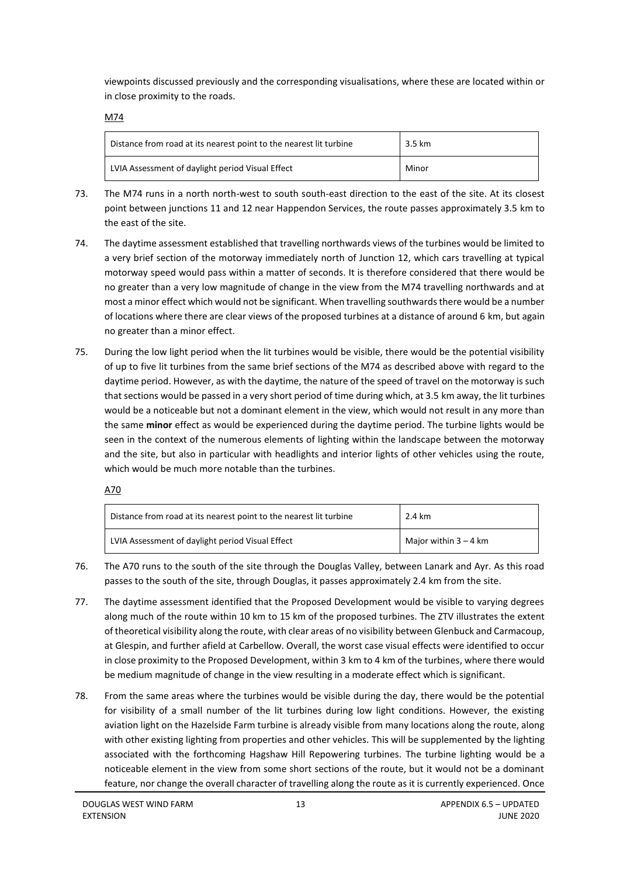viewpoints discussed previously and the corresponding visualisations, where these are located within or in close proximity to the roads.

M74

| Distance from road at its nearest point to the nearest lit turbine | 3.5 km |
|--------------------------------------------------------------------|--------|
| LVIA Assessment of daylight period Visual Effect                   | Minor  |

- 73. The M74 runs in a north north-west to south south-east direction to the east of the site. At its closest point between junctions 11 and 12 near Happendon Services, the route passes approximately 3.5 km to the east of the site.
- 74. The daytime assessment established that travelling northwards views of the turbines would be limited to a very brief section of the motorway immediately north of Junction 12, which cars travelling at typical motorway speed would pass within a matter of seconds. It is therefore considered that there would be no greater than a very low magnitude of change in the view from the M74 travelling northwards and at most a minor effect which would not be significant. When travelling southwards there would be a number of locations where there are clear views of the proposed turbines at a distance of around 6 km, but again no greater than a minor effect.
- 75. During the low light period when the lit turbines would be visible, there would be the potential visibility of up to five lit turbines from the same brief sections of the M74 as described above with regard to the daytime period. However, as with the daytime, the nature of the speed of travel on the motorway is such that sections would be passed in a very short period of time during which, at 3.5 km away, the lit turbines would be a noticeable but not a dominant element in the view, which would not result in any more than the same **minor** effect as would be experienced during the daytime period. The turbine lights would be seen in the context of the numerous elements of lighting within the landscape between the motorway and the site, but also in particular with headlights and interior lights of other vehicles using the route, which would be much more notable than the turbines.

A70

| Distance from road at its nearest point to the nearest lit turbine | 2.4 km                  |
|--------------------------------------------------------------------|-------------------------|
| LVIA Assessment of daylight period Visual Effect                   | Major within $3 - 4$ km |

- 76. The A70 runs to the south of the site through the Douglas Valley, between Lanark and Ayr. As this road passes to the south of the site, through Douglas, it passes approximately 2.4 km from the site.
- 77. The daytime assessment identified that the Proposed Development would be visible to varying degrees along much of the route within 10 km to 15 km of the proposed turbines. The ZTV illustrates the extent of theoretical visibility along the route, with clear areas of no visibility between Glenbuck and Carmacoup, at Glespin, and further afield at Carbellow. Overall, the worst case visual effects were identified to occur in close proximity to the Proposed Development, within 3 km to 4 km of the turbines, where there would be medium magnitude of change in the view resulting in a moderate effect which is significant.
- 78. From the same areas where the turbines would be visible during the day, there would be the potential for visibility of a small number of the lit turbines during low light conditions. However, the existing aviation light on the Hazelside Farm turbine is already visible from many locations along the route, along with other existing lighting from properties and other vehicles. This will be supplemented by the lighting associated with the forthcoming Hagshaw Hill Repowering turbines. The turbine lighting would be a noticeable element in the view from some short sections of the route, but it would not be a dominant feature, nor change the overall character of travelling along the route as it is currently experienced. Once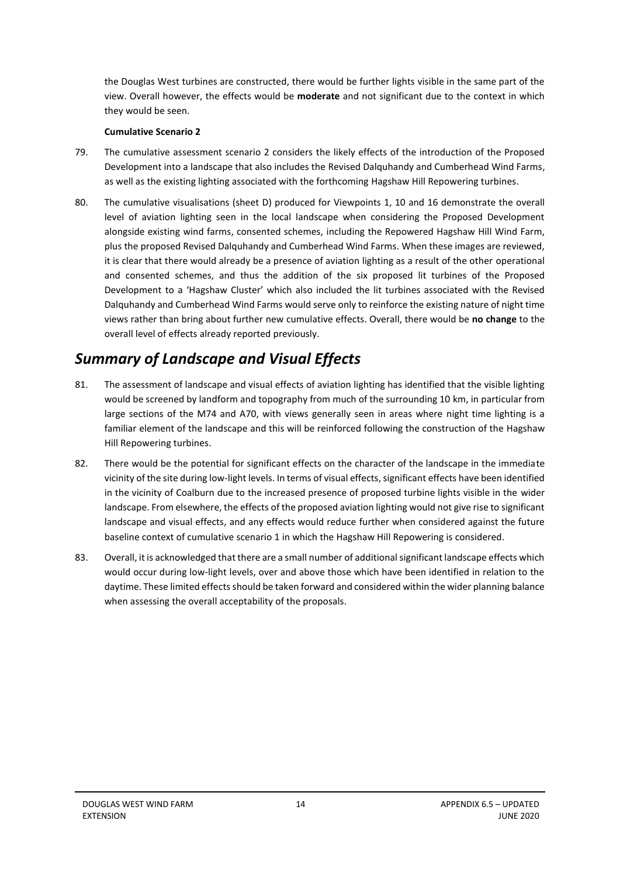the Douglas West turbines are constructed, there would be further lights visible in the same part of the view. Overall however, the effects would be **moderate** and not significant due to the context in which they would be seen.

### **Cumulative Scenario 2**

- 79. The cumulative assessment scenario 2 considers the likely effects of the introduction of the Proposed Development into a landscape that also includes the Revised Dalquhandy and Cumberhead Wind Farms, as well as the existing lighting associated with the forthcoming Hagshaw Hill Repowering turbines.
- 80. The cumulative visualisations (sheet D) produced for Viewpoints 1, 10 and 16 demonstrate the overall level of aviation lighting seen in the local landscape when considering the Proposed Development alongside existing wind farms, consented schemes, including the Repowered Hagshaw Hill Wind Farm, plus the proposed Revised Dalquhandy and Cumberhead Wind Farms. When these images are reviewed, it is clear that there would already be a presence of aviation lighting as a result of the other operational and consented schemes, and thus the addition of the six proposed lit turbines of the Proposed Development to a 'Hagshaw Cluster' which also included the lit turbines associated with the Revised Dalquhandy and Cumberhead Wind Farms would serve only to reinforce the existing nature of night time views rather than bring about further new cumulative effects. Overall, there would be **no change** to the overall level of effects already reported previously.

## <span id="page-15-0"></span>*Summary of Landscape and Visual Effects*

- 81. The assessment of landscape and visual effects of aviation lighting has identified that the visible lighting would be screened by landform and topography from much of the surrounding 10 km, in particular from large sections of the M74 and A70, with views generally seen in areas where night time lighting is a familiar element of the landscape and this will be reinforced following the construction of the Hagshaw Hill Repowering turbines.
- 82. There would be the potential for significant effects on the character of the landscape in the immediate vicinity of the site during low-light levels. In terms of visual effects, significant effects have been identified in the vicinity of Coalburn due to the increased presence of proposed turbine lights visible in the wider landscape. From elsewhere, the effects of the proposed aviation lighting would not give rise to significant landscape and visual effects, and any effects would reduce further when considered against the future baseline context of cumulative scenario 1 in which the Hagshaw Hill Repowering is considered.
- 83. Overall, it is acknowledged that there are a small number of additional significant landscape effects which would occur during low-light levels, over and above those which have been identified in relation to the daytime. These limited effects should be taken forward and considered within the wider planning balance when assessing the overall acceptability of the proposals.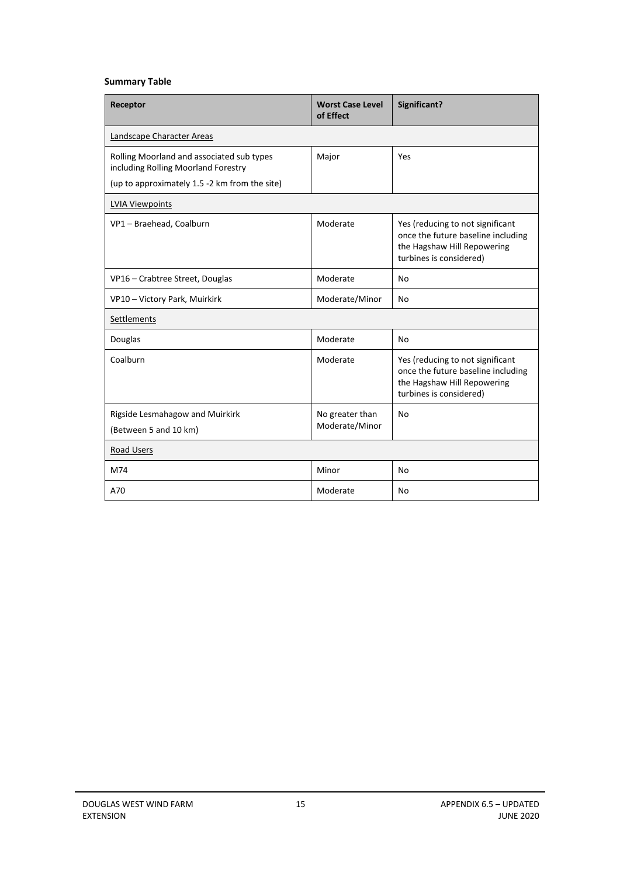### **Summary Table**

| Receptor                                                                         | <b>Worst Case Level</b><br>of Effect | Significant?                                                                                                                     |
|----------------------------------------------------------------------------------|--------------------------------------|----------------------------------------------------------------------------------------------------------------------------------|
| Landscape Character Areas                                                        |                                      |                                                                                                                                  |
| Rolling Moorland and associated sub types<br>including Rolling Moorland Forestry | Major                                | Yes                                                                                                                              |
| (up to approximately 1.5 -2 km from the site)                                    |                                      |                                                                                                                                  |
| <b>LVIA Viewpoints</b>                                                           |                                      |                                                                                                                                  |
| VP1 - Braehead, Coalburn                                                         | Moderate                             | Yes (reducing to not significant<br>once the future baseline including<br>the Hagshaw Hill Repowering<br>turbines is considered) |
| VP16 - Crabtree Street, Douglas                                                  | Moderate                             | No                                                                                                                               |
| VP10 - Victory Park, Muirkirk                                                    | Moderate/Minor                       | No                                                                                                                               |
| Settlements                                                                      |                                      |                                                                                                                                  |
| Douglas                                                                          | Moderate                             | <b>No</b>                                                                                                                        |
| Coalburn                                                                         | Moderate                             | Yes (reducing to not significant<br>once the future baseline including<br>the Hagshaw Hill Repowering<br>turbines is considered) |
| Rigside Lesmahagow and Muirkirk<br>(Between 5 and 10 km)                         | No greater than<br>Moderate/Minor    | No                                                                                                                               |
| Road Users                                                                       |                                      |                                                                                                                                  |
| M74                                                                              | Minor                                | No                                                                                                                               |
| A70                                                                              | Moderate                             | No                                                                                                                               |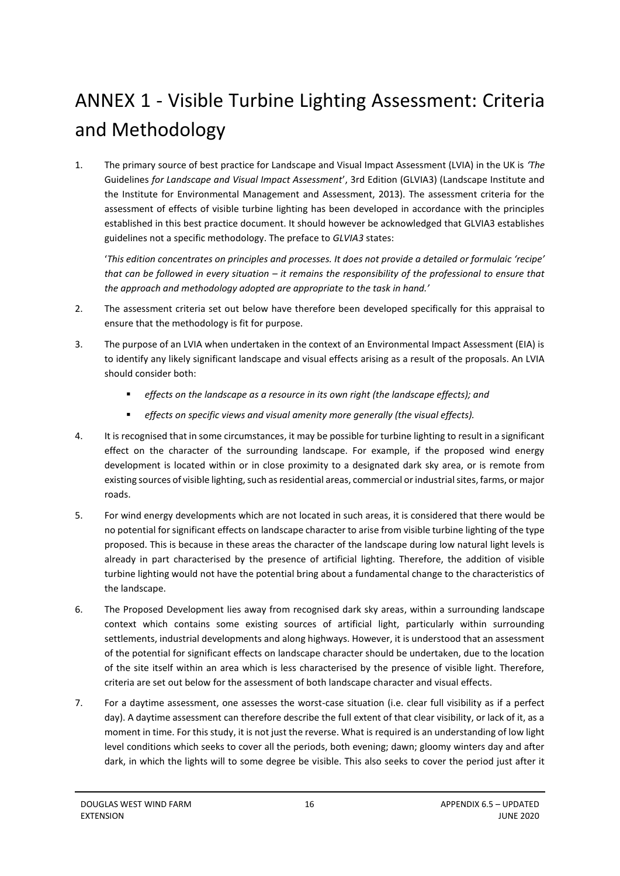## ANNEX 1 - Visible Turbine Lighting Assessment: Criteria and Methodology

1. The primary source of best practice for Landscape and Visual Impact Assessment (LVIA) in the UK is *'The*  Guidelines *for Landscape and Visual Impact Assessment*', 3rd Edition (GLVIA3) (Landscape Institute and the Institute for Environmental Management and Assessment, 2013). The assessment criteria for the assessment of effects of visible turbine lighting has been developed in accordance with the principles established in this best practice document. It should however be acknowledged that GLVIA3 establishes guidelines not a specific methodology. The preface to *GLVIA3* states:

'*This edition concentrates on principles and processes. It does not provide a detailed or formulaic 'recipe' that can be followed in every situation – it remains the responsibility of the professional to ensure that the approach and methodology adopted are appropriate to the task in hand.'* 

- 2. The assessment criteria set out below have therefore been developed specifically for this appraisal to ensure that the methodology is fit for purpose.
- 3. The purpose of an LVIA when undertaken in the context of an Environmental Impact Assessment (EIA) is to identify any likely significant landscape and visual effects arising as a result of the proposals. An LVIA should consider both:
	- *effects on the landscape as a resource in its own right (the landscape effects); and*
	- *effects on specific views and visual amenity more generally (the visual effects).*
- 4. It is recognised that in some circumstances, it may be possible for turbine lighting to result in a significant effect on the character of the surrounding landscape. For example, if the proposed wind energy development is located within or in close proximity to a designated dark sky area, or is remote from existing sources of visible lighting, such as residential areas, commercial or industrial sites, farms, or major roads.
- 5. For wind energy developments which are not located in such areas, it is considered that there would be no potential for significant effects on landscape character to arise from visible turbine lighting of the type proposed. This is because in these areas the character of the landscape during low natural light levels is already in part characterised by the presence of artificial lighting. Therefore, the addition of visible turbine lighting would not have the potential bring about a fundamental change to the characteristics of the landscape.
- 6. The Proposed Development lies away from recognised dark sky areas, within a surrounding landscape context which contains some existing sources of artificial light, particularly within surrounding settlements, industrial developments and along highways. However, it is understood that an assessment of the potential for significant effects on landscape character should be undertaken, due to the location of the site itself within an area which is less characterised by the presence of visible light. Therefore, criteria are set out below for the assessment of both landscape character and visual effects.
- 7. For a daytime assessment, one assesses the worst-case situation (i.e. clear full visibility as if a perfect day). A daytime assessment can therefore describe the full extent of that clear visibility, or lack of it, as a moment in time. For this study, it is not just the reverse. What is required is an understanding of low light level conditions which seeks to cover all the periods, both evening; dawn; gloomy winters day and after dark, in which the lights will to some degree be visible. This also seeks to cover the period just after it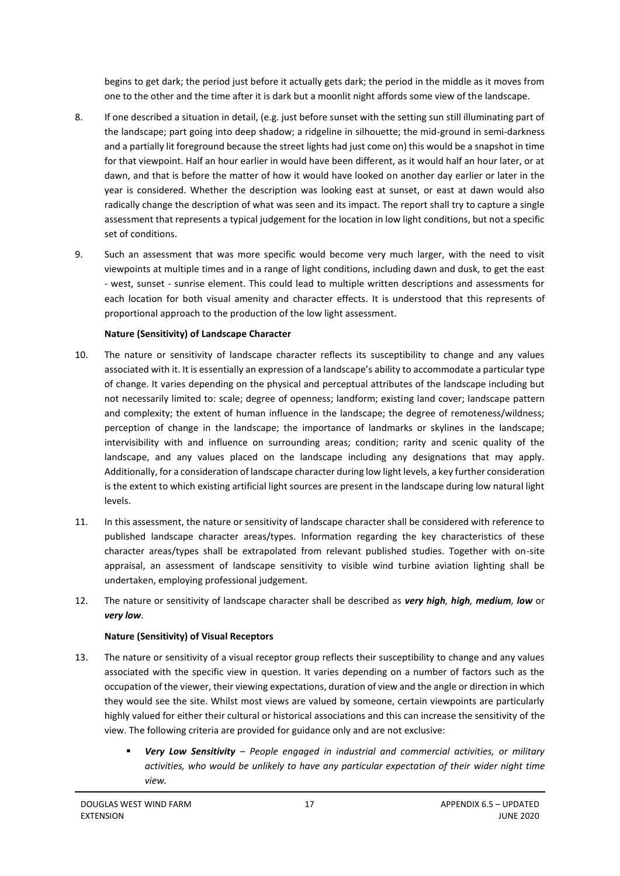begins to get dark; the period just before it actually gets dark; the period in the middle as it moves from one to the other and the time after it is dark but a moonlit night affords some view of the landscape.

- 8. If one described a situation in detail, (e.g. just before sunset with the setting sun still illuminating part of the landscape; part going into deep shadow; a ridgeline in silhouette; the mid-ground in semi-darkness and a partially lit foreground because the street lights had just come on) this would be a snapshot in time for that viewpoint. Half an hour earlier in would have been different, as it would half an hour later, or at dawn, and that is before the matter of how it would have looked on another day earlier or later in the year is considered. Whether the description was looking east at sunset, or east at dawn would also radically change the description of what was seen and its impact. The report shall try to capture a single assessment that represents a typical judgement for the location in low light conditions, but not a specific set of conditions.
- 9. Such an assessment that was more specific would become very much larger, with the need to visit viewpoints at multiple times and in a range of light conditions, including dawn and dusk, to get the east - west, sunset - sunrise element. This could lead to multiple written descriptions and assessments for each location for both visual amenity and character effects. It is understood that this represents of proportional approach to the production of the low light assessment.

### **Nature (Sensitivity) of Landscape Character**

- 10. The nature or sensitivity of landscape character reflects its susceptibility to change and any values associated with it. It is essentially an expression of a landscape's ability to accommodate a particular type of change. It varies depending on the physical and perceptual attributes of the landscape including but not necessarily limited to: scale; degree of openness; landform; existing land cover; landscape pattern and complexity; the extent of human influence in the landscape; the degree of remoteness/wildness; perception of change in the landscape; the importance of landmarks or skylines in the landscape; intervisibility with and influence on surrounding areas; condition; rarity and scenic quality of the landscape, and any values placed on the landscape including any designations that may apply. Additionally, for a consideration of landscape character during low light levels, a key further consideration is the extent to which existing artificial light sources are present in the landscape during low natural light levels.
- 11. In this assessment, the nature or sensitivity of landscape character shall be considered with reference to published landscape character areas/types. Information regarding the key characteristics of these character areas/types shall be extrapolated from relevant published studies. Together with on-site appraisal, an assessment of landscape sensitivity to visible wind turbine aviation lighting shall be undertaken, employing professional judgement.
- 12. The nature or sensitivity of landscape character shall be described as *very high, high, medium, low* or *very low*.

### **Nature (Sensitivity) of Visual Receptors**

- 13. The nature or sensitivity of a visual receptor group reflects their susceptibility to change and any values associated with the specific view in question. It varies depending on a number of factors such as the occupation of the viewer, their viewing expectations, duration of view and the angle or direction in which they would see the site. Whilst most views are valued by someone, certain viewpoints are particularly highly valued for either their cultural or historical associations and this can increase the sensitivity of the view. The following criteria are provided for guidance only and are not exclusive:
	- *Very Low Sensitivity – People engaged in industrial and commercial activities, or military activities, who would be unlikely to have any particular expectation of their wider night time view.*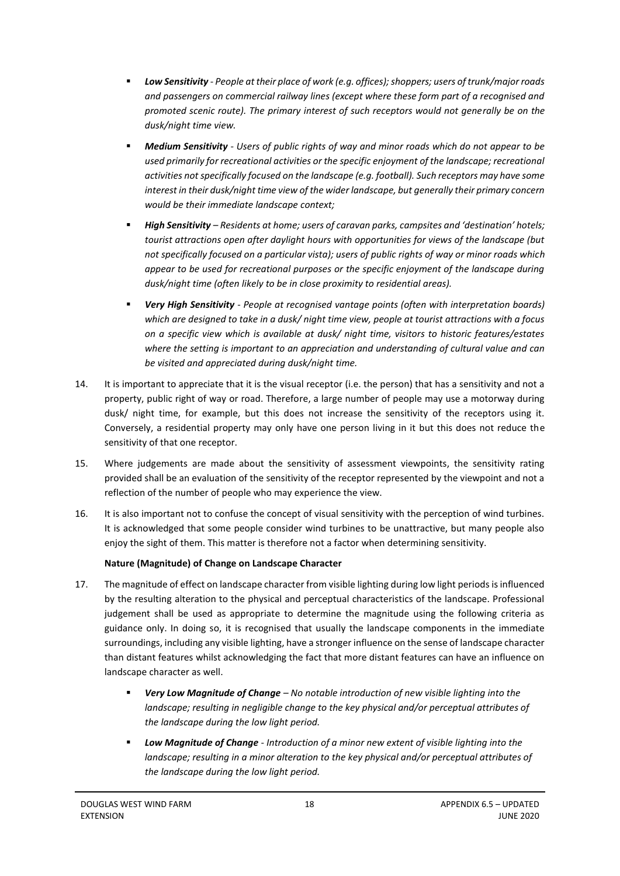- *Low Sensitivity - People at their place of work (e.g. offices); shoppers; users of trunk/major roads and passengers on commercial railway lines (except where these form part of a recognised and promoted scenic route). The primary interest of such receptors would not generally be on the dusk/night time view.*
- **Medium Sensitivity**  *Users of public rights of way and minor roads which do not appear to be used primarily for recreational activities or the specific enjoyment of the landscape; recreational activities not specifically focused on the landscape (e.g. football). Such receptors may have some interest in their dusk/night time view of the wider landscape, but generally their primary concern would be their immediate landscape context;*
- *High Sensitivity – Residents at home; users of caravan parks, campsites and 'destination' hotels; tourist attractions open after daylight hours with opportunities for views of the landscape (but not specifically focused on a particular vista); users of public rights of way or minor roads which appear to be used for recreational purposes or the specific enjoyment of the landscape during dusk/night time (often likely to be in close proximity to residential areas).*
- *Very High Sensitivity - People at recognised vantage points (often with interpretation boards) which are designed to take in a dusk/ night time view, people at tourist attractions with a focus on a specific view which is available at dusk/ night time, visitors to historic features/estates where the setting is important to an appreciation and understanding of cultural value and can be visited and appreciated during dusk/night time.*
- 14. It is important to appreciate that it is the visual receptor (i.e. the person) that has a sensitivity and not a property, public right of way or road. Therefore, a large number of people may use a motorway during dusk/ night time, for example, but this does not increase the sensitivity of the receptors using it. Conversely, a residential property may only have one person living in it but this does not reduce the sensitivity of that one receptor.
- 15. Where judgements are made about the sensitivity of assessment viewpoints, the sensitivity rating provided shall be an evaluation of the sensitivity of the receptor represented by the viewpoint and not a reflection of the number of people who may experience the view.
- 16. It is also important not to confuse the concept of visual sensitivity with the perception of wind turbines. It is acknowledged that some people consider wind turbines to be unattractive, but many people also enjoy the sight of them. This matter is therefore not a factor when determining sensitivity.

### **Nature (Magnitude) of Change on Landscape Character**

- 17. The magnitude of effect on landscape character from visible lighting during low light periods is influenced by the resulting alteration to the physical and perceptual characteristics of the landscape. Professional judgement shall be used as appropriate to determine the magnitude using the following criteria as guidance only. In doing so, it is recognised that usually the landscape components in the immediate surroundings, including any visible lighting, have a stronger influence on the sense of landscape character than distant features whilst acknowledging the fact that more distant features can have an influence on landscape character as well.
	- *Very Low Magnitude of Change – No notable introduction of new visible lighting into the landscape; resulting in negligible change to the key physical and/or perceptual attributes of the landscape during the low light period.*
	- *Low Magnitude of Change - Introduction of a minor new extent of visible lighting into the landscape; resulting in a minor alteration to the key physical and/or perceptual attributes of the landscape during the low light period.*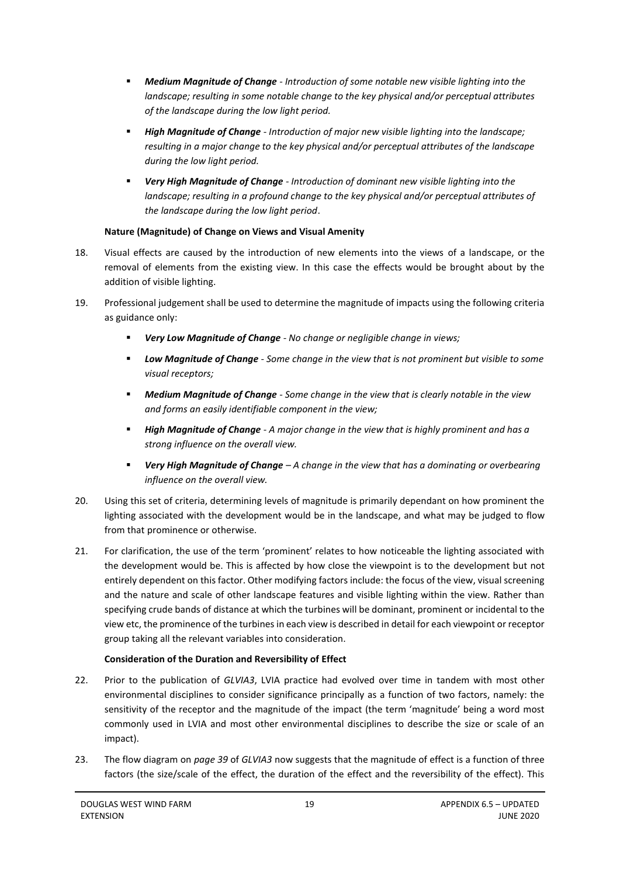- *Medium Magnitude of Change - Introduction of some notable new visible lighting into the landscape; resulting in some notable change to the key physical and/or perceptual attributes of the landscape during the low light period.*
- *High Magnitude of Change - Introduction of major new visible lighting into the landscape; resulting in a major change to the key physical and/or perceptual attributes of the landscape during the low light period.*
- *Very High Magnitude of Change - Introduction of dominant new visible lighting into the landscape; resulting in a profound change to the key physical and/or perceptual attributes of the landscape during the low light period*.

### **Nature (Magnitude) of Change on Views and Visual Amenity**

- 18. Visual effects are caused by the introduction of new elements into the views of a landscape, or the removal of elements from the existing view. In this case the effects would be brought about by the addition of visible lighting.
- 19. Professional judgement shall be used to determine the magnitude of impacts using the following criteria as guidance only:
	- *Very Low Magnitude of Change - No change or negligible change in views;*
	- *Low Magnitude of Change - Some change in the view that is not prominent but visible to some visual receptors;*
	- *Medium Magnitude of Change - Some change in the view that is clearly notable in the view and forms an easily identifiable component in the view;*
	- *High Magnitude of Change - A major change in the view that is highly prominent and has a strong influence on the overall view.*
	- *Very High Magnitude of Change – A change in the view that has a dominating or overbearing influence on the overall view.*
- 20. Using this set of criteria, determining levels of magnitude is primarily dependant on how prominent the lighting associated with the development would be in the landscape, and what may be judged to flow from that prominence or otherwise.
- 21. For clarification, the use of the term 'prominent' relates to how noticeable the lighting associated with the development would be. This is affected by how close the viewpoint is to the development but not entirely dependent on this factor. Other modifying factors include: the focus of the view, visual screening and the nature and scale of other landscape features and visible lighting within the view. Rather than specifying crude bands of distance at which the turbines will be dominant, prominent or incidental to the view etc, the prominence of the turbines in each view is described in detail for each viewpoint or receptor group taking all the relevant variables into consideration.

### **Consideration of the Duration and Reversibility of Effect**

- 22. Prior to the publication of *GLVIA3*, LVIA practice had evolved over time in tandem with most other environmental disciplines to consider significance principally as a function of two factors, namely: the sensitivity of the receptor and the magnitude of the impact (the term 'magnitude' being a word most commonly used in LVIA and most other environmental disciplines to describe the size or scale of an impact).
- 23. The flow diagram on *page 39* of *GLVIA3* now suggests that the magnitude of effect is a function of three factors (the size/scale of the effect, the duration of the effect and the reversibility of the effect). This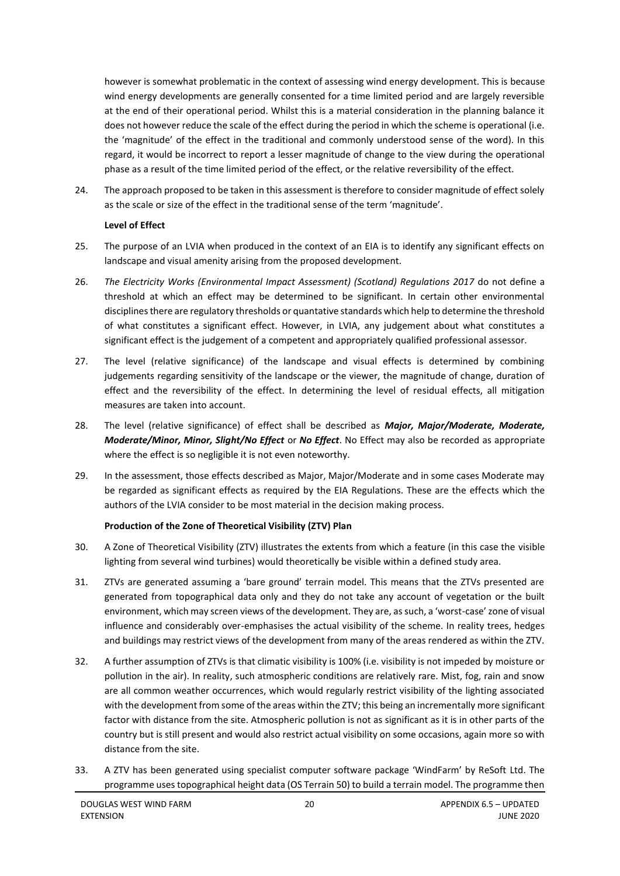however is somewhat problematic in the context of assessing wind energy development. This is because wind energy developments are generally consented for a time limited period and are largely reversible at the end of their operational period. Whilst this is a material consideration in the planning balance it does not however reduce the scale of the effect during the period in which the scheme is operational (i.e. the 'magnitude' of the effect in the traditional and commonly understood sense of the word). In this regard, it would be incorrect to report a lesser magnitude of change to the view during the operational phase as a result of the time limited period of the effect, or the relative reversibility of the effect.

24. The approach proposed to be taken in this assessment is therefore to consider magnitude of effect solely as the scale or size of the effect in the traditional sense of the term 'magnitude'.

### **Level of Effect**

- 25. The purpose of an LVIA when produced in the context of an EIA is to identify any significant effects on landscape and visual amenity arising from the proposed development.
- 26. *The Electricity Works (Environmental Impact Assessment) (Scotland) Regulations 2017* do not define a threshold at which an effect may be determined to be significant. In certain other environmental disciplines there are regulatory thresholds or quantative standards which help to determine the threshold of what constitutes a significant effect. However, in LVIA, any judgement about what constitutes a significant effect is the judgement of a competent and appropriately qualified professional assessor.
- 27. The level (relative significance) of the landscape and visual effects is determined by combining judgements regarding sensitivity of the landscape or the viewer, the magnitude of change, duration of effect and the reversibility of the effect. In determining the level of residual effects, all mitigation measures are taken into account.
- 28. The level (relative significance) of effect shall be described as *Major, Major/Moderate, Moderate, Moderate/Minor, Minor, Slight/No Effect* or *No Effect*. No Effect may also be recorded as appropriate where the effect is so negligible it is not even noteworthy.
- 29. In the assessment, those effects described as Major, Major/Moderate and in some cases Moderate may be regarded as significant effects as required by the EIA Regulations. These are the effects which the authors of the LVIA consider to be most material in the decision making process.

### **Production of the Zone of Theoretical Visibility (ZTV) Plan**

- 30. A Zone of Theoretical Visibility (ZTV) illustrates the extents from which a feature (in this case the visible lighting from several wind turbines) would theoretically be visible within a defined study area.
- 31. ZTVs are generated assuming a 'bare ground' terrain model. This means that the ZTVs presented are generated from topographical data only and they do not take any account of vegetation or the built environment, which may screen views of the development. They are, as such, a 'worst-case' zone of visual influence and considerably over-emphasises the actual visibility of the scheme. In reality trees, hedges and buildings may restrict views of the development from many of the areas rendered as within the ZTV.
- 32. A further assumption of ZTVs is that climatic visibility is 100% (i.e. visibility is not impeded by moisture or pollution in the air). In reality, such atmospheric conditions are relatively rare. Mist, fog, rain and snow are all common weather occurrences, which would regularly restrict visibility of the lighting associated with the development from some of the areas within the ZTV; this being an incrementally more significant factor with distance from the site. Atmospheric pollution is not as significant as it is in other parts of the country but is still present and would also restrict actual visibility on some occasions, again more so with distance from the site.
- 33. A ZTV has been generated using specialist computer software package 'WindFarm' by ReSoft Ltd. The programme uses topographical height data (OS Terrain 50) to build a terrain model. The programme then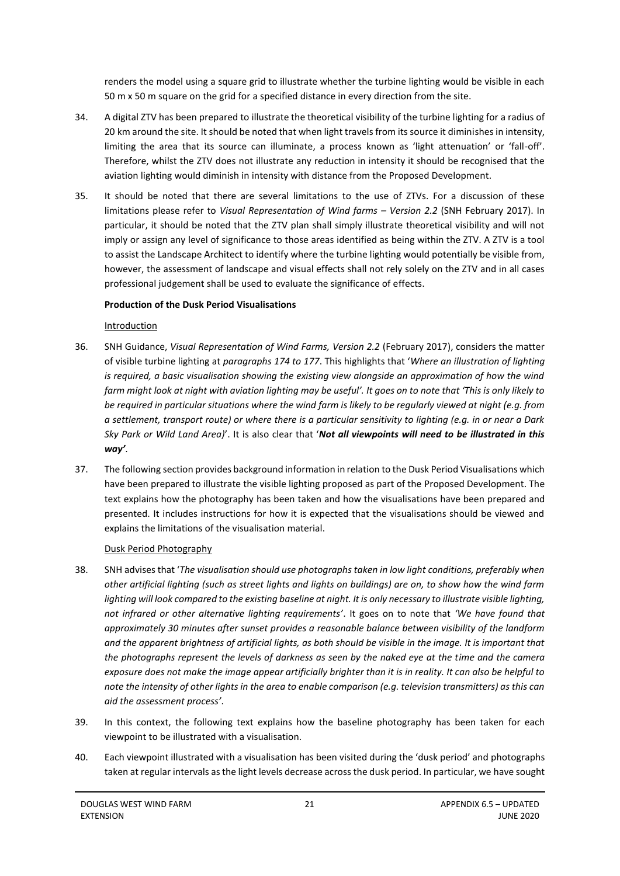renders the model using a square grid to illustrate whether the turbine lighting would be visible in each 50 m x 50 m square on the grid for a specified distance in every direction from the site.

- 34. A digital ZTV has been prepared to illustrate the theoretical visibility of the turbine lighting for a radius of 20 km around the site. It should be noted that when light travels from its source it diminishes in intensity, limiting the area that its source can illuminate, a process known as 'light attenuation' or 'fall-off'. Therefore, whilst the ZTV does not illustrate any reduction in intensity it should be recognised that the aviation lighting would diminish in intensity with distance from the Proposed Development.
- 35. It should be noted that there are several limitations to the use of ZTVs. For a discussion of these limitations please refer to *Visual Representation of Wind farms – Version 2.2* (SNH February 2017). In particular, it should be noted that the ZTV plan shall simply illustrate theoretical visibility and will not imply or assign any level of significance to those areas identified as being within the ZTV. A ZTV is a tool to assist the Landscape Architect to identify where the turbine lighting would potentially be visible from, however, the assessment of landscape and visual effects shall not rely solely on the ZTV and in all cases professional judgement shall be used to evaluate the significance of effects.

### **Production of the Dusk Period Visualisations**

### Introduction

- 36. SNH Guidance, *Visual Representation of Wind Farms, Version 2.2* (February 2017), considers the matter of visible turbine lighting at *paragraphs 174 to 177*. This highlights that '*Where an illustration of lighting is required, a basic visualisation showing the existing view alongside an approximation of how the wind farm might look at night with aviation lighting may be useful'. It goes on to note that 'This is only likely to be required in particular situations where the wind farm is likely to be regularly viewed at night (e.g. from a settlement, transport route) or where there is a particular sensitivity to lighting (e.g. in or near a Dark Sky Park or Wild Land Area)*'. It is also clear that '*Not all viewpoints will need to be illustrated in this way'*.
- 37. The following section provides background information in relation to the Dusk Period Visualisations which have been prepared to illustrate the visible lighting proposed as part of the Proposed Development. The text explains how the photography has been taken and how the visualisations have been prepared and presented. It includes instructions for how it is expected that the visualisations should be viewed and explains the limitations of the visualisation material.

### Dusk Period Photography

- 38. SNH advises that '*The visualisation should use photographs taken in low light conditions, preferably when other artificial lighting (such as street lights and lights on buildings) are on, to show how the wind farm lighting will look compared to the existing baseline at night. It is only necessary to illustrate visible lighting, not infrared or other alternative lighting requirements'*. It goes on to note that *'We have found that approximately 30 minutes after sunset provides a reasonable balance between visibility of the landform and the apparent brightness of artificial lights, as both should be visible in the image. It is important that the photographs represent the levels of darkness as seen by the naked eye at the time and the camera exposure does not make the image appear artificially brighter than it is in reality. It can also be helpful to note the intensity of other lights in the area to enable comparison (e.g. television transmitters) as this can aid the assessment process'*.
- 39. In this context, the following text explains how the baseline photography has been taken for each viewpoint to be illustrated with a visualisation.
- 40. Each viewpoint illustrated with a visualisation has been visited during the 'dusk period' and photographs taken at regular intervals as the light levels decrease across the dusk period. In particular, we have sought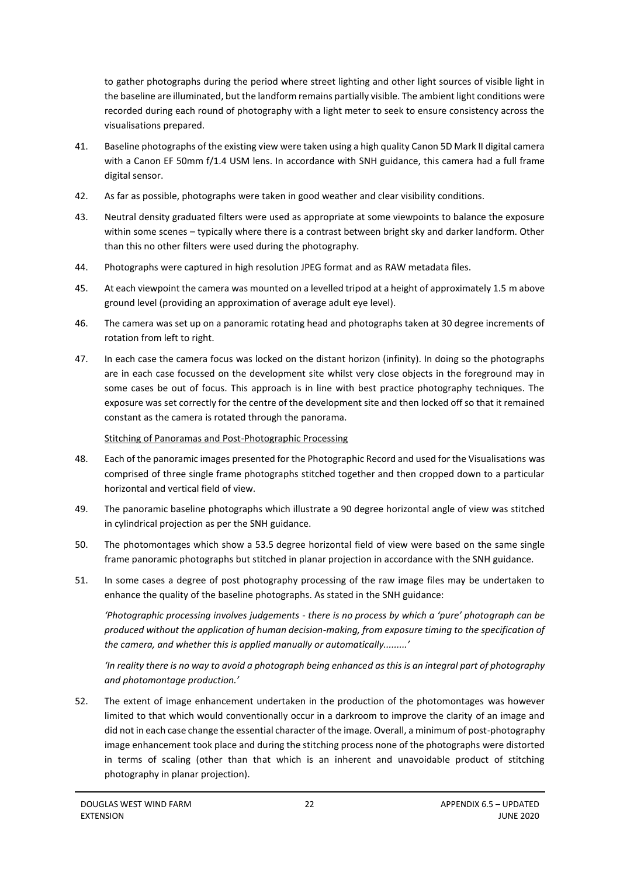to gather photographs during the period where street lighting and other light sources of visible light in the baseline are illuminated, but the landform remains partially visible. The ambient light conditions were recorded during each round of photography with a light meter to seek to ensure consistency across the visualisations prepared.

- 41. Baseline photographs of the existing view were taken using a high quality Canon 5D Mark II digital camera with a Canon EF 50mm f/1.4 USM lens. In accordance with SNH guidance, this camera had a full frame digital sensor.
- 42. As far as possible, photographs were taken in good weather and clear visibility conditions.
- 43. Neutral density graduated filters were used as appropriate at some viewpoints to balance the exposure within some scenes – typically where there is a contrast between bright sky and darker landform. Other than this no other filters were used during the photography.
- 44. Photographs were captured in high resolution JPEG format and as RAW metadata files.
- 45. At each viewpoint the camera was mounted on a levelled tripod at a height of approximately 1.5 m above ground level (providing an approximation of average adult eye level).
- 46. The camera was set up on a panoramic rotating head and photographs taken at 30 degree increments of rotation from left to right.
- 47. In each case the camera focus was locked on the distant horizon (infinity). In doing so the photographs are in each case focussed on the development site whilst very close objects in the foreground may in some cases be out of focus. This approach is in line with best practice photography techniques. The exposure was set correctly for the centre of the development site and then locked off so that it remained constant as the camera is rotated through the panorama.

### Stitching of Panoramas and Post-Photographic Processing

- 48. Each of the panoramic images presented for the Photographic Record and used for the Visualisations was comprised of three single frame photographs stitched together and then cropped down to a particular horizontal and vertical field of view.
- 49. The panoramic baseline photographs which illustrate a 90 degree horizontal angle of view was stitched in cylindrical projection as per the SNH guidance.
- 50. The photomontages which show a 53.5 degree horizontal field of view were based on the same single frame panoramic photographs but stitched in planar projection in accordance with the SNH guidance.
- 51. In some cases a degree of post photography processing of the raw image files may be undertaken to enhance the quality of the baseline photographs. As stated in the SNH guidance:

*'Photographic processing involves judgements - there is no process by which a 'pure' photograph can be produced without the application of human decision-making, from exposure timing to the specification of the camera, and whether this is applied manually or automatically.........'*

*'In reality there is no way to avoid a photograph being enhanced as this is an integral part of photography and photomontage production.'* 

52. The extent of image enhancement undertaken in the production of the photomontages was however limited to that which would conventionally occur in a darkroom to improve the clarity of an image and did not in each case change the essential character of the image. Overall, a minimum of post-photography image enhancement took place and during the stitching process none of the photographs were distorted in terms of scaling (other than that which is an inherent and unavoidable product of stitching photography in planar projection).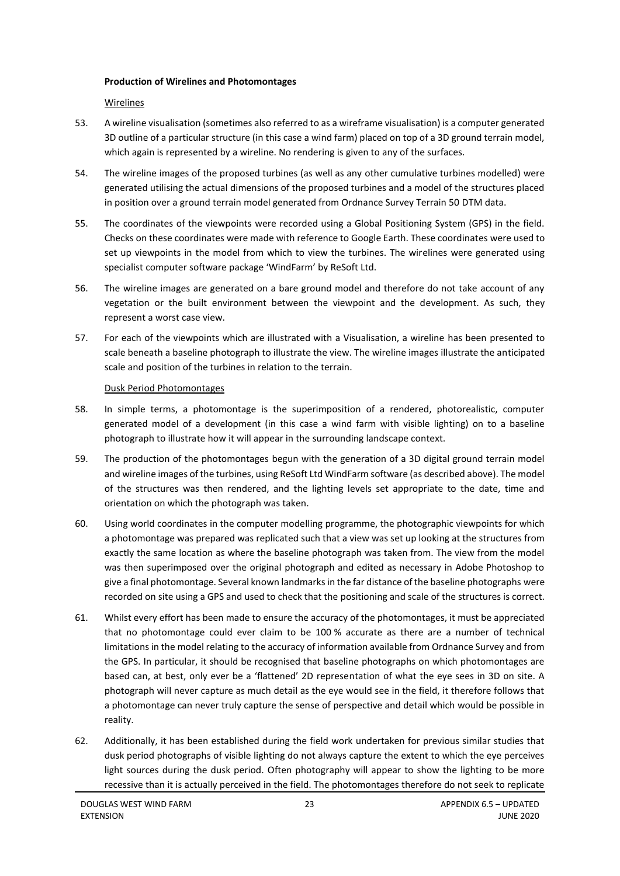### **Production of Wirelines and Photomontages**

### Wirelines

- 53. A wireline visualisation (sometimes also referred to as a wireframe visualisation) is a computer generated 3D outline of a particular structure (in this case a wind farm) placed on top of a 3D ground terrain model, which again is represented by a wireline. No rendering is given to any of the surfaces.
- 54. The wireline images of the proposed turbines (as well as any other cumulative turbines modelled) were generated utilising the actual dimensions of the proposed turbines and a model of the structures placed in position over a ground terrain model generated from Ordnance Survey Terrain 50 DTM data.
- 55. The coordinates of the viewpoints were recorded using a Global Positioning System (GPS) in the field. Checks on these coordinates were made with reference to Google Earth. These coordinates were used to set up viewpoints in the model from which to view the turbines. The wirelines were generated using specialist computer software package 'WindFarm' by ReSoft Ltd.
- 56. The wireline images are generated on a bare ground model and therefore do not take account of any vegetation or the built environment between the viewpoint and the development. As such, they represent a worst case view.
- 57. For each of the viewpoints which are illustrated with a Visualisation, a wireline has been presented to scale beneath a baseline photograph to illustrate the view. The wireline images illustrate the anticipated scale and position of the turbines in relation to the terrain.

### Dusk Period Photomontages

- 58. In simple terms, a photomontage is the superimposition of a rendered, photorealistic, computer generated model of a development (in this case a wind farm with visible lighting) on to a baseline photograph to illustrate how it will appear in the surrounding landscape context.
- 59. The production of the photomontages begun with the generation of a 3D digital ground terrain model and wireline images of the turbines, using ReSoft Ltd WindFarm software (as described above). The model of the structures was then rendered, and the lighting levels set appropriate to the date, time and orientation on which the photograph was taken.
- 60. Using world coordinates in the computer modelling programme, the photographic viewpoints for which a photomontage was prepared was replicated such that a view was set up looking at the structures from exactly the same location as where the baseline photograph was taken from. The view from the model was then superimposed over the original photograph and edited as necessary in Adobe Photoshop to give a final photomontage. Several known landmarks in the far distance of the baseline photographs were recorded on site using a GPS and used to check that the positioning and scale of the structures is correct.
- 61. Whilst every effort has been made to ensure the accuracy of the photomontages, it must be appreciated that no photomontage could ever claim to be 100 % accurate as there are a number of technical limitations in the model relating to the accuracy of information available from Ordnance Survey and from the GPS. In particular, it should be recognised that baseline photographs on which photomontages are based can, at best, only ever be a 'flattened' 2D representation of what the eye sees in 3D on site. A photograph will never capture as much detail as the eye would see in the field, it therefore follows that a photomontage can never truly capture the sense of perspective and detail which would be possible in reality.
- 62. Additionally, it has been established during the field work undertaken for previous similar studies that dusk period photographs of visible lighting do not always capture the extent to which the eye perceives light sources during the dusk period. Often photography will appear to show the lighting to be more recessive than it is actually perceived in the field. The photomontages therefore do not seek to replicate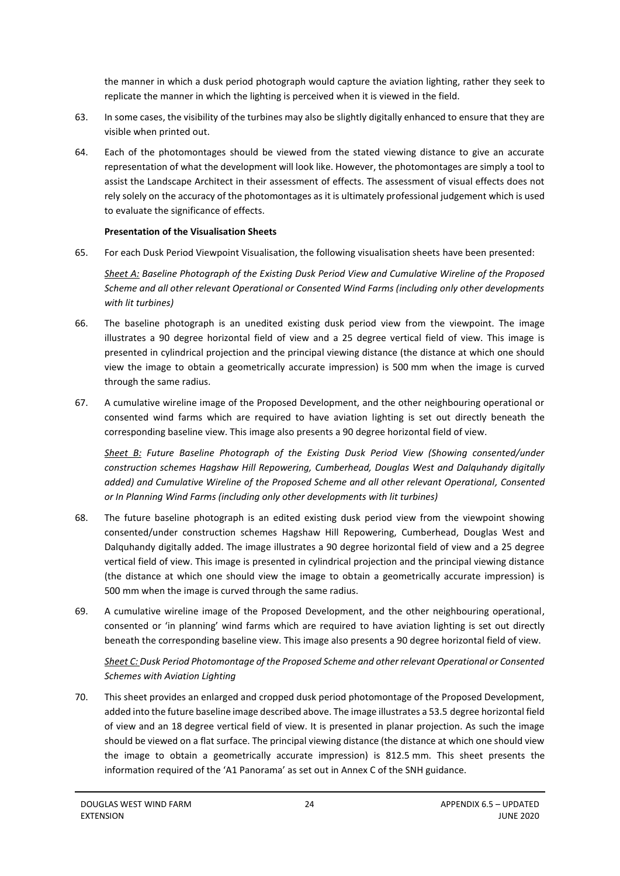the manner in which a dusk period photograph would capture the aviation lighting, rather they seek to replicate the manner in which the lighting is perceived when it is viewed in the field.

- 63. In some cases, the visibility of the turbines may also be slightly digitally enhanced to ensure that they are visible when printed out.
- 64. Each of the photomontages should be viewed from the stated viewing distance to give an accurate representation of what the development will look like. However, the photomontages are simply a tool to assist the Landscape Architect in their assessment of effects. The assessment of visual effects does not rely solely on the accuracy of the photomontages as it is ultimately professional judgement which is used to evaluate the significance of effects.

### **Presentation of the Visualisation Sheets**

65. For each Dusk Period Viewpoint Visualisation, the following visualisation sheets have been presented:

*Sheet A: Baseline Photograph of the Existing Dusk Period View and Cumulative Wireline of the Proposed Scheme and all other relevant Operational or Consented Wind Farms (including only other developments with lit turbines)*

- 66. The baseline photograph is an unedited existing dusk period view from the viewpoint. The image illustrates a 90 degree horizontal field of view and a 25 degree vertical field of view. This image is presented in cylindrical projection and the principal viewing distance (the distance at which one should view the image to obtain a geometrically accurate impression) is 500 mm when the image is curved through the same radius.
- 67. A cumulative wireline image of the Proposed Development, and the other neighbouring operational or consented wind farms which are required to have aviation lighting is set out directly beneath the corresponding baseline view. This image also presents a 90 degree horizontal field of view.

*Sheet B: Future Baseline Photograph of the Existing Dusk Period View (Showing consented/under construction schemes Hagshaw Hill Repowering, Cumberhead, Douglas West and Dalquhandy digitally added) and Cumulative Wireline of the Proposed Scheme and all other relevant Operational, Consented or In Planning Wind Farms (including only other developments with lit turbines)*

- 68. The future baseline photograph is an edited existing dusk period view from the viewpoint showing consented/under construction schemes Hagshaw Hill Repowering, Cumberhead, Douglas West and Dalquhandy digitally added. The image illustrates a 90 degree horizontal field of view and a 25 degree vertical field of view. This image is presented in cylindrical projection and the principal viewing distance (the distance at which one should view the image to obtain a geometrically accurate impression) is 500 mm when the image is curved through the same radius.
- 69. A cumulative wireline image of the Proposed Development, and the other neighbouring operational, consented or 'in planning' wind farms which are required to have aviation lighting is set out directly beneath the corresponding baseline view. This image also presents a 90 degree horizontal field of view.

*Sheet C: Dusk Period Photomontage of the Proposed Scheme and other relevant Operational or Consented Schemes with Aviation Lighting*

70. This sheet provides an enlarged and cropped dusk period photomontage of the Proposed Development, added into the future baseline image described above. The image illustrates a 53.5 degree horizontal field of view and an 18 degree vertical field of view. It is presented in planar projection. As such the image should be viewed on a flat surface. The principal viewing distance (the distance at which one should view the image to obtain a geometrically accurate impression) is 812.5 mm. This sheet presents the information required of the 'A1 Panorama' as set out in Annex C of the SNH guidance.